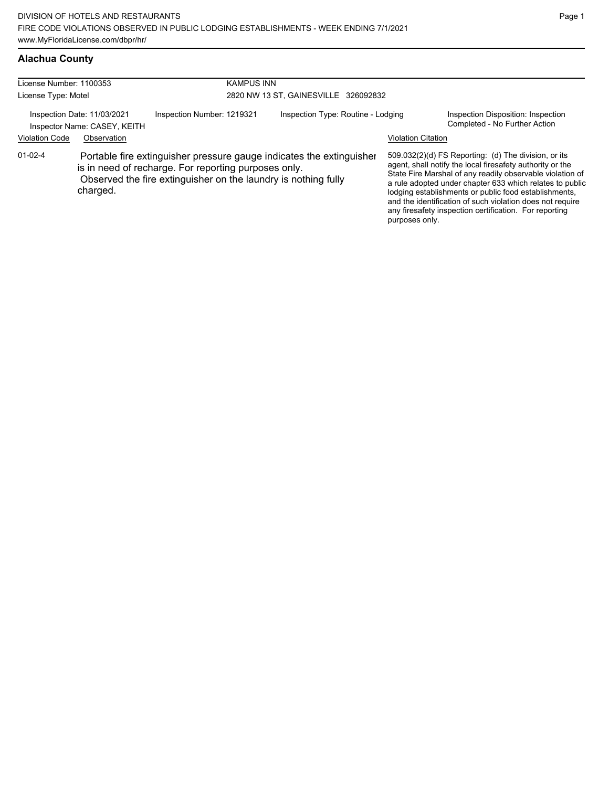## **Alachua County**

| License Number: 1100353 |                                                             | <b>KAMPUS INN</b>                                                                                                                                                                              |                                      |                           |                                                                                                                                                                                                                                                                                                                                                                                                                            |  |  |
|-------------------------|-------------------------------------------------------------|------------------------------------------------------------------------------------------------------------------------------------------------------------------------------------------------|--------------------------------------|---------------------------|----------------------------------------------------------------------------------------------------------------------------------------------------------------------------------------------------------------------------------------------------------------------------------------------------------------------------------------------------------------------------------------------------------------------------|--|--|
| License Type: Motel     |                                                             |                                                                                                                                                                                                | 2820 NW 13 ST, GAINESVILLE 326092832 |                           |                                                                                                                                                                                                                                                                                                                                                                                                                            |  |  |
|                         | Inspection Date: 11/03/2021<br>Inspector Name: CASEY, KEITH | Inspection Number: 1219321                                                                                                                                                                     | Inspection Type: Routine - Lodging   |                           | Inspection Disposition: Inspection<br>Completed - No Further Action                                                                                                                                                                                                                                                                                                                                                        |  |  |
| <b>Violation Code</b>   | Observation                                                 |                                                                                                                                                                                                |                                      | <b>Violation Citation</b> |                                                                                                                                                                                                                                                                                                                                                                                                                            |  |  |
| $01-02-4$               | charged.                                                    | Portable fire extinguisher pressure gauge indicates the extinguisher<br>is in need of recharge. For reporting purposes only.<br>Observed the fire extinguisher on the laundry is nothing fully |                                      | purposes only.            | 509.032(2)(d) FS Reporting: (d) The division, or its<br>agent, shall notify the local firesafety authority or the<br>State Fire Marshal of any readily observable violation of<br>a rule adopted under chapter 633 which relates to public<br>lodging establishments or public food establishments,<br>and the identification of such violation does not require<br>any firesafety inspection certification. For reporting |  |  |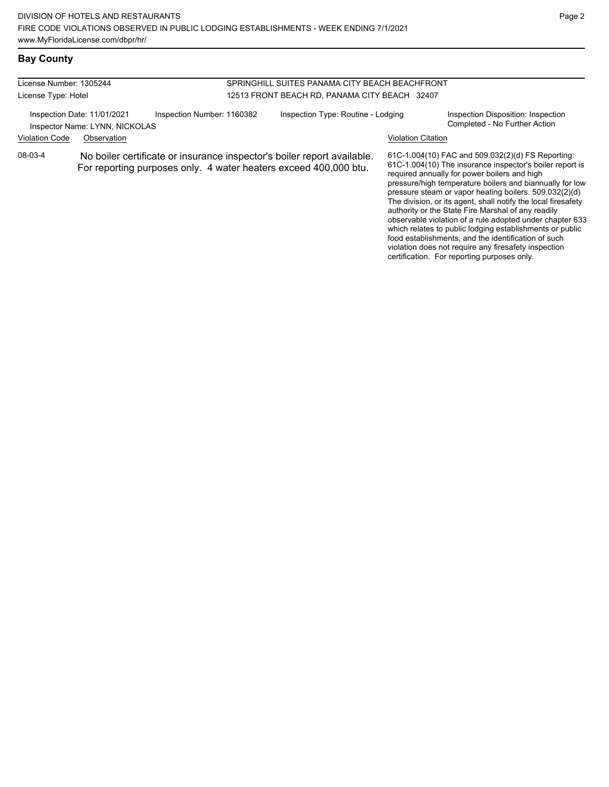#### License Number: 1305244 License Type: Hotel SPRINGHILL SUITES PANAMA CITY BEACH BEACHFRONT 12513 FRONT BEACH RD, PANAMA CITY BEACH 32407 Inspection Date: 11/01/2021 Inspection Number: 1160382 Inspection Type: Routine - Lodging Inspection Disposition: Inspection<br>Inspector Name: IVNN NICKOLAS Inspector Name: LYNN, NICKOLAS Violation Code Observation Violation Citation 61C-1.004(10) FAC and 509.032(2)(d) FS Reporting: 61C-1.004(10) The insurance inspector's boiler report is required annually for power boilers and high pressure/high temperature boilers and biannually for low pressure steam or vapor heating boilers. 509.032(2)(d) The division, or its agent, shall notify the local firesafety authority or the State Fire Marshal of any readily observable violation of a rule adopted under chapter 633 which relates to public lodging establishments or public 08-03-4 No boiler certificate or insurance inspector's boiler report available. For reporting purposes only. 4 water heaters exceed 400,000 btu.

food establishments, and the identification of such violation does not require any firesafety inspection certification. For reporting purposes only.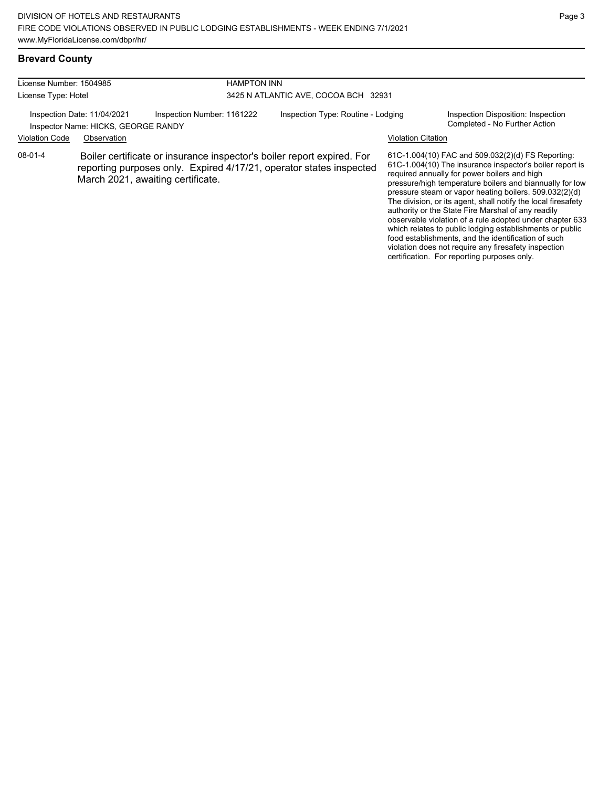which relates to public lodging establishments or public food establishments, and the identification of such violation does not require any firesafety inspection certification. For reporting purposes only.

## **Brevard County**

| License Number: 1504985<br>License Type: Hotel |                                                                    |                                                                                                                                                                                    | <b>HAMPTON INN</b><br>3425 N ATLANTIC AVE, COCOA BCH 32931 |                           |                                                                                                                                                                                                                                                                                                                                                                                                                                                                        |  |  |
|------------------------------------------------|--------------------------------------------------------------------|------------------------------------------------------------------------------------------------------------------------------------------------------------------------------------|------------------------------------------------------------|---------------------------|------------------------------------------------------------------------------------------------------------------------------------------------------------------------------------------------------------------------------------------------------------------------------------------------------------------------------------------------------------------------------------------------------------------------------------------------------------------------|--|--|
|                                                | Inspection Date: 11/04/2021<br>Inspector Name: HICKS, GEORGE RANDY | Inspection Number: 1161222                                                                                                                                                         | Inspection Type: Routine - Lodging                         |                           | Inspection Disposition: Inspection<br>Completed - No Further Action                                                                                                                                                                                                                                                                                                                                                                                                    |  |  |
| <b>Violation Code</b>                          | Observation                                                        |                                                                                                                                                                                    |                                                            | <b>Violation Citation</b> |                                                                                                                                                                                                                                                                                                                                                                                                                                                                        |  |  |
| 08-01-4                                        |                                                                    | Boiler certificate or insurance inspector's boiler report expired. For<br>reporting purposes only. Expired 4/17/21, operator states inspected<br>March 2021, awaiting certificate. |                                                            |                           | 61C-1.004(10) FAC and 509.032(2)(d) FS Reporting:<br>61C-1.004(10) The insurance inspector's boiler report is<br>required annually for power boilers and high<br>pressure/high temperature boilers and biannually for low<br>pressure steam or vapor heating boilers. 509.032(2)(d)<br>The division, or its agent, shall notify the local firesafety<br>authority or the State Fire Marshal of any readily<br>observable violation of a rule adopted under chapter 633 |  |  |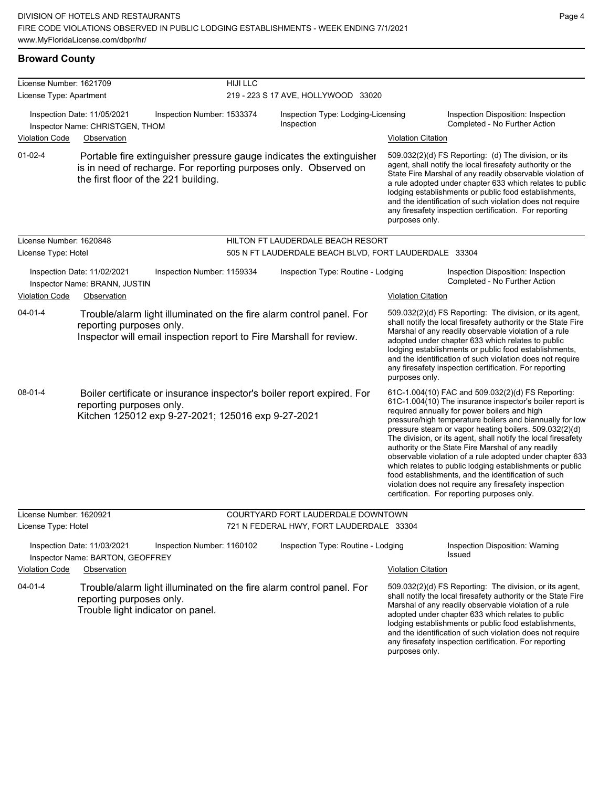any firesafety inspection certification. For reporting

| <b>Broward County</b>   |                                                                                                                                                                                  |                 |                                                       |                           |                                                                                                                                                                                                                                                                                                                                                                                                                                                                                                                                                                                                                                                                                                  |
|-------------------------|----------------------------------------------------------------------------------------------------------------------------------------------------------------------------------|-----------------|-------------------------------------------------------|---------------------------|--------------------------------------------------------------------------------------------------------------------------------------------------------------------------------------------------------------------------------------------------------------------------------------------------------------------------------------------------------------------------------------------------------------------------------------------------------------------------------------------------------------------------------------------------------------------------------------------------------------------------------------------------------------------------------------------------|
| License Number: 1621709 |                                                                                                                                                                                  | <b>HIJI LLC</b> |                                                       |                           |                                                                                                                                                                                                                                                                                                                                                                                                                                                                                                                                                                                                                                                                                                  |
| License Type: Apartment |                                                                                                                                                                                  |                 | 219 - 223 S 17 AVE, HOLLYWOOD 33020                   |                           |                                                                                                                                                                                                                                                                                                                                                                                                                                                                                                                                                                                                                                                                                                  |
|                         | Inspection Date: 11/05/2021<br>Inspection Number: 1533374<br>Inspector Name: CHRISTGEN, THOM                                                                                     |                 | Inspection Type: Lodging-Licensing<br>Inspection      |                           | Inspection Disposition: Inspection<br>Completed - No Further Action                                                                                                                                                                                                                                                                                                                                                                                                                                                                                                                                                                                                                              |
| Violation Code          | Observation                                                                                                                                                                      |                 |                                                       | <b>Violation Citation</b> |                                                                                                                                                                                                                                                                                                                                                                                                                                                                                                                                                                                                                                                                                                  |
| $01-02-4$               | Portable fire extinguisher pressure gauge indicates the extinguisher<br>is in need of recharge. For reporting purposes only. Observed on<br>the first floor of the 221 building. |                 |                                                       | purposes only.            | 509.032(2)(d) FS Reporting: (d) The division, or its<br>agent, shall notify the local firesafety authority or the<br>State Fire Marshal of any readily observable violation of<br>a rule adopted under chapter 633 which relates to public<br>lodging establishments or public food establishments,<br>and the identification of such violation does not require<br>any firesafety inspection certification. For reporting                                                                                                                                                                                                                                                                       |
| License Number: 1620848 |                                                                                                                                                                                  |                 | HILTON FT LAUDERDALE BEACH RESORT                     |                           |                                                                                                                                                                                                                                                                                                                                                                                                                                                                                                                                                                                                                                                                                                  |
| License Type: Hotel     |                                                                                                                                                                                  |                 | 505 N FT LAUDERDALE BEACH BLVD, FORT LAUDERDALE 33304 |                           |                                                                                                                                                                                                                                                                                                                                                                                                                                                                                                                                                                                                                                                                                                  |
|                         | Inspection Date: 11/02/2021<br>Inspection Number: 1159334<br>Inspector Name: BRANN, JUSTIN                                                                                       |                 | Inspection Type: Routine - Lodging                    |                           | Inspection Disposition: Inspection<br>Completed - No Further Action                                                                                                                                                                                                                                                                                                                                                                                                                                                                                                                                                                                                                              |
| <b>Violation Code</b>   | Observation                                                                                                                                                                      |                 |                                                       | <b>Violation Citation</b> |                                                                                                                                                                                                                                                                                                                                                                                                                                                                                                                                                                                                                                                                                                  |
| $04 - 01 - 4$           | Trouble/alarm light illuminated on the fire alarm control panel. For<br>reporting purposes only.<br>Inspector will email inspection report to Fire Marshall for review.          |                 |                                                       | purposes only.            | 509.032(2)(d) FS Reporting: The division, or its agent,<br>shall notify the local firesafety authority or the State Fire<br>Marshal of any readily observable violation of a rule<br>adopted under chapter 633 which relates to public<br>lodging establishments or public food establishments,<br>and the identification of such violation does not require<br>any firesafety inspection certification. For reporting                                                                                                                                                                                                                                                                           |
| 08-01-4                 | Boiler certificate or insurance inspector's boiler report expired. For<br>reporting purposes only.<br>Kitchen 125012 exp 9-27-2021; 125016 exp 9-27-2021                         |                 |                                                       |                           | 61C-1.004(10) FAC and 509.032(2)(d) FS Reporting:<br>61C-1.004(10) The insurance inspector's boiler report is<br>required annually for power boilers and high<br>pressure/high temperature boilers and biannually for low<br>pressure steam or vapor heating boilers. 509.032(2)(d)<br>The division, or its agent, shall notify the local firesafety<br>authority or the State Fire Marshal of any readily<br>observable violation of a rule adopted under chapter 633<br>which relates to public lodging establishments or public<br>food establishments, and the identification of such<br>violation does not require any firesafety inspection<br>certification. For reporting purposes only. |
| License Number: 1620921 |                                                                                                                                                                                  |                 | COURTYARD FORT LAUDERDALE DOWNTOWN                    |                           |                                                                                                                                                                                                                                                                                                                                                                                                                                                                                                                                                                                                                                                                                                  |
| License Type: Hotel     |                                                                                                                                                                                  |                 | 721 N FEDERAL HWY, FORT LAUDERDALE 33304              |                           |                                                                                                                                                                                                                                                                                                                                                                                                                                                                                                                                                                                                                                                                                                  |
| <b>Violation Code</b>   | Inspection Date: 11/03/2021<br>Inspection Number: 1160102<br>Inspector Name: BARTON, GEOFFREY<br>Observation                                                                     |                 | Inspection Type: Routine - Lodging                    | <b>Violation Citation</b> | Inspection Disposition: Warning<br>Issued                                                                                                                                                                                                                                                                                                                                                                                                                                                                                                                                                                                                                                                        |
| $04 - 01 - 4$           | Trouble/alarm light illuminated on the fire alarm control panel. For<br>reporting purposes only.<br>Trouble light indicator on panel.                                            |                 |                                                       |                           | 509.032(2)(d) FS Reporting: The division, or its agent,<br>shall notify the local firesafety authority or the State Fire<br>Marshal of any readily observable violation of a rule<br>adopted under chapter 633 which relates to public<br>lodging establishments or public food establishments,<br>and the identification of such violation does not require                                                                                                                                                                                                                                                                                                                                     |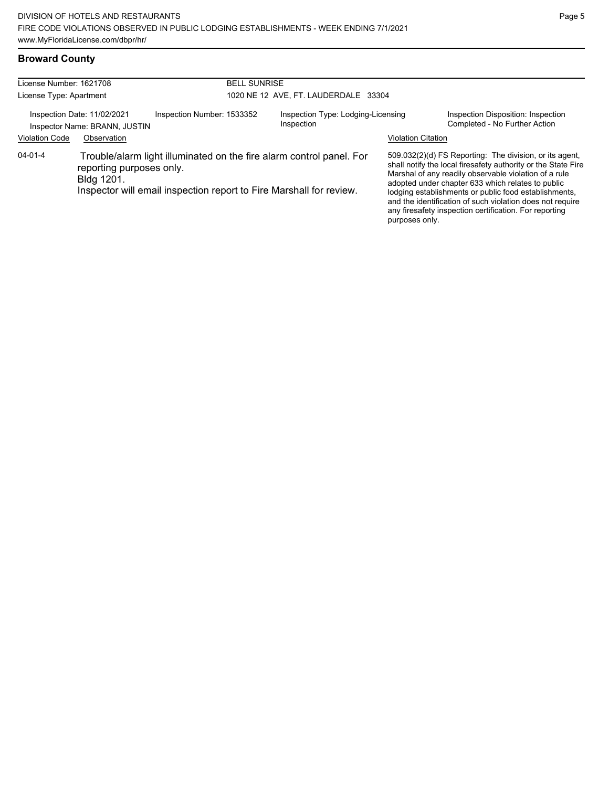### **Broward County**

| License Number: 1621708 |                                                              |                            | <b>BELL SUNRISE</b>                  |                                                                                                                                             |                           |                                                                                                                                                                                                                                                                                                                                                                                                                        |  |
|-------------------------|--------------------------------------------------------------|----------------------------|--------------------------------------|---------------------------------------------------------------------------------------------------------------------------------------------|---------------------------|------------------------------------------------------------------------------------------------------------------------------------------------------------------------------------------------------------------------------------------------------------------------------------------------------------------------------------------------------------------------------------------------------------------------|--|
| License Type: Apartment |                                                              |                            | 1020 NE 12 AVE, FT. LAUDERDALE 33304 |                                                                                                                                             |                           |                                                                                                                                                                                                                                                                                                                                                                                                                        |  |
|                         | Inspection Date: 11/02/2021<br>Inspector Name: BRANN, JUSTIN | Inspection Number: 1533352 |                                      | Inspection Type: Lodging-Licensing<br>Inspection                                                                                            |                           | Inspection Disposition: Inspection<br>Completed - No Further Action                                                                                                                                                                                                                                                                                                                                                    |  |
| <b>Violation Code</b>   | Observation                                                  |                            |                                      |                                                                                                                                             | <b>Violation Citation</b> |                                                                                                                                                                                                                                                                                                                                                                                                                        |  |
| 04-01-4                 | reporting purposes only.<br>Bldg 1201.                       |                            |                                      | Trouble/alarm light illuminated on the fire alarm control panel. For<br>Inspector will email inspection report to Fire Marshall for review. | purposes only.            | 509.032(2)(d) FS Reporting: The division, or its agent,<br>shall notify the local firesafety authority or the State Fire<br>Marshal of any readily observable violation of a rule<br>adopted under chapter 633 which relates to public<br>lodging establishments or public food establishments,<br>and the identification of such violation does not require<br>any firesafety inspection certification. For reporting |  |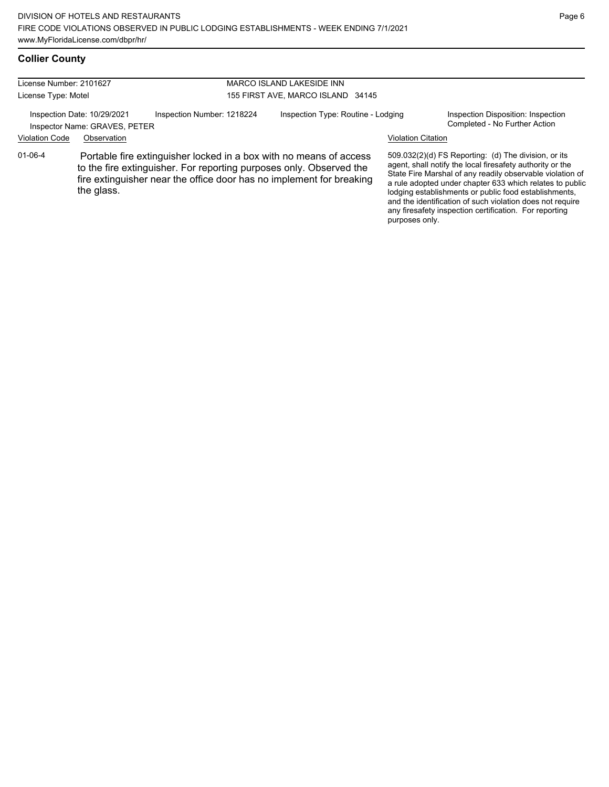#### **Collier County**

| License Number: 2101627 |                                                              |                                                                                                                                                                                                                   | <b>MARCO ISLAND LAKESIDE INN</b>   |                           |                                                                                                                                                                                                                                                                                                                                                                                                                            |
|-------------------------|--------------------------------------------------------------|-------------------------------------------------------------------------------------------------------------------------------------------------------------------------------------------------------------------|------------------------------------|---------------------------|----------------------------------------------------------------------------------------------------------------------------------------------------------------------------------------------------------------------------------------------------------------------------------------------------------------------------------------------------------------------------------------------------------------------------|
|                         |                                                              |                                                                                                                                                                                                                   |                                    |                           |                                                                                                                                                                                                                                                                                                                                                                                                                            |
| License Type: Motel     |                                                              |                                                                                                                                                                                                                   | 155 FIRST AVE, MARCO ISLAND 34145  |                           |                                                                                                                                                                                                                                                                                                                                                                                                                            |
|                         | Inspection Date: 10/29/2021<br>Inspector Name: GRAVES, PETER | Inspection Number: 1218224                                                                                                                                                                                        | Inspection Type: Routine - Lodging |                           | Inspection Disposition: Inspection<br>Completed - No Further Action                                                                                                                                                                                                                                                                                                                                                        |
| <b>Violation Code</b>   | Observation                                                  |                                                                                                                                                                                                                   |                                    | <b>Violation Citation</b> |                                                                                                                                                                                                                                                                                                                                                                                                                            |
| $01 - 06 - 4$           | the glass.                                                   | Portable fire extinguisher locked in a box with no means of access<br>to the fire extinguisher. For reporting purposes only. Observed the<br>fire extinguisher near the office door has no implement for breaking |                                    | purposes only.            | 509.032(2)(d) FS Reporting: (d) The division, or its<br>agent, shall notify the local firesafety authority or the<br>State Fire Marshal of any readily observable violation of<br>a rule adopted under chapter 633 which relates to public<br>lodging establishments or public food establishments,<br>and the identification of such violation does not require<br>any firesafety inspection certification. For reporting |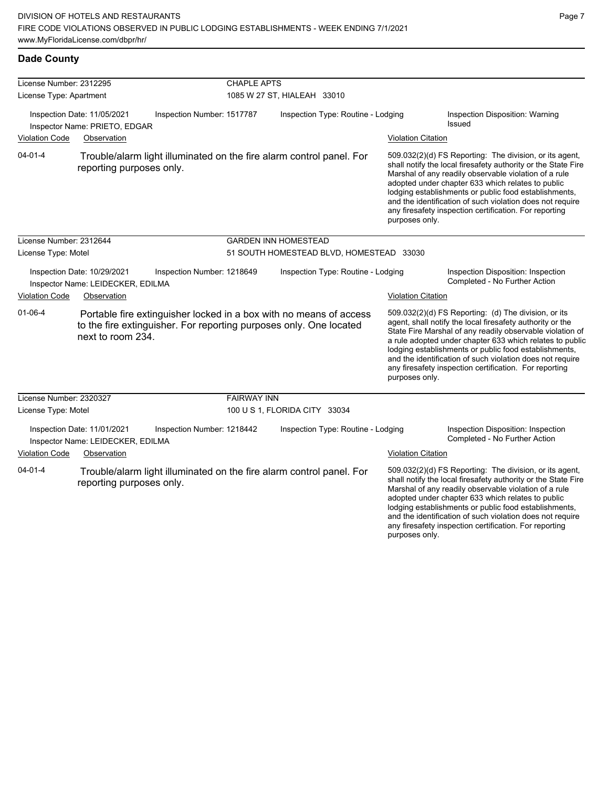| License Number: 2312295 |                                                                  |                            | <b>CHAPLE APTS</b> |                                                                                                                                          |                           |                                                                                                                                                                                                                                                                                                                                                                                                                            |
|-------------------------|------------------------------------------------------------------|----------------------------|--------------------|------------------------------------------------------------------------------------------------------------------------------------------|---------------------------|----------------------------------------------------------------------------------------------------------------------------------------------------------------------------------------------------------------------------------------------------------------------------------------------------------------------------------------------------------------------------------------------------------------------------|
| License Type: Apartment |                                                                  |                            |                    | 1085 W 27 ST, HIALEAH 33010                                                                                                              |                           |                                                                                                                                                                                                                                                                                                                                                                                                                            |
|                         | Inspection Date: 11/05/2021<br>Inspector Name: PRIETO, EDGAR     | Inspection Number: 1517787 |                    | Inspection Type: Routine - Lodging                                                                                                       |                           | Inspection Disposition: Warning<br>Issued                                                                                                                                                                                                                                                                                                                                                                                  |
| <b>Violation Code</b>   | Observation                                                      |                            |                    |                                                                                                                                          | <b>Violation Citation</b> |                                                                                                                                                                                                                                                                                                                                                                                                                            |
| $04 - 01 - 4$           | reporting purposes only.                                         |                            |                    | Trouble/alarm light illuminated on the fire alarm control panel. For                                                                     | purposes only.            | 509.032(2)(d) FS Reporting: The division, or its agent,<br>shall notify the local firesafety authority or the State Fire<br>Marshal of any readily observable violation of a rule<br>adopted under chapter 633 which relates to public<br>lodging establishments or public food establishments,<br>and the identification of such violation does not require<br>any firesafety inspection certification. For reporting     |
| License Number: 2312644 |                                                                  |                            |                    | <b>GARDEN INN HOMESTEAD</b>                                                                                                              |                           |                                                                                                                                                                                                                                                                                                                                                                                                                            |
| License Type: Motel     |                                                                  |                            |                    | 51 SOUTH HOMESTEAD BLVD, HOMESTEAD 33030                                                                                                 |                           |                                                                                                                                                                                                                                                                                                                                                                                                                            |
|                         | Inspection Date: 10/29/2021<br>Inspector Name: LEIDECKER, EDILMA | Inspection Number: 1218649 |                    | Inspection Type: Routine - Lodging                                                                                                       |                           | Inspection Disposition: Inspection<br>Completed - No Further Action                                                                                                                                                                                                                                                                                                                                                        |
| <b>Violation Code</b>   | Observation                                                      |                            |                    |                                                                                                                                          | <b>Violation Citation</b> |                                                                                                                                                                                                                                                                                                                                                                                                                            |
| $01 - 06 - 4$           | next to room 234.                                                |                            |                    | Portable fire extinguisher locked in a box with no means of access<br>to the fire extinguisher. For reporting purposes only. One located | purposes only.            | 509.032(2)(d) FS Reporting: (d) The division, or its<br>agent, shall notify the local firesafety authority or the<br>State Fire Marshal of any readily observable violation of<br>a rule adopted under chapter 633 which relates to public<br>lodging establishments or public food establishments,<br>and the identification of such violation does not require<br>any firesafety inspection certification. For reporting |
| License Number: 2320327 |                                                                  |                            | <b>FAIRWAY INN</b> |                                                                                                                                          |                           |                                                                                                                                                                                                                                                                                                                                                                                                                            |
| License Type: Motel     |                                                                  |                            |                    | 100 U S 1, FLORIDA CITY 33034                                                                                                            |                           |                                                                                                                                                                                                                                                                                                                                                                                                                            |
|                         | Inspection Date: 11/01/2021<br>Inspector Name: LEIDECKER, EDILMA | Inspection Number: 1218442 |                    | Inspection Type: Routine - Lodging                                                                                                       |                           | Inspection Disposition: Inspection<br>Completed - No Further Action                                                                                                                                                                                                                                                                                                                                                        |
| <b>Violation Code</b>   | Observation                                                      |                            |                    |                                                                                                                                          | <b>Violation Citation</b> |                                                                                                                                                                                                                                                                                                                                                                                                                            |
| $04 - 01 - 4$           | reporting purposes only.                                         |                            |                    | Trouble/alarm light illuminated on the fire alarm control panel. For                                                                     |                           | 509.032(2)(d) FS Reporting: The division, or its agent,<br>shall notify the local firesafety authority or the State Fire<br>Marshal of any readily observable violation of a rule<br>adopted under chapter 633 which relates to public<br>lodging establishments or public food establishments,<br>and the identification of such violation does not require<br>any firesafety inspection certification. For reporting     |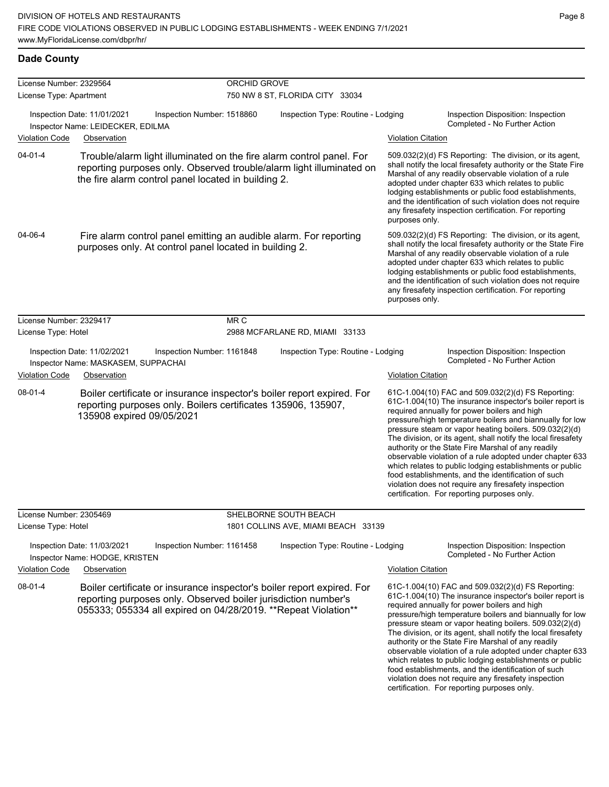| License Number: 2329564 |                                                                    |                                                                                                                                                                                                             | ORCHID GROVE |                                                                           |                           |                                                                                                                                                                                                                                                                                                                                                                                                                                                                                                                                                                                                                                                                                                  |
|-------------------------|--------------------------------------------------------------------|-------------------------------------------------------------------------------------------------------------------------------------------------------------------------------------------------------------|--------------|---------------------------------------------------------------------------|---------------------------|--------------------------------------------------------------------------------------------------------------------------------------------------------------------------------------------------------------------------------------------------------------------------------------------------------------------------------------------------------------------------------------------------------------------------------------------------------------------------------------------------------------------------------------------------------------------------------------------------------------------------------------------------------------------------------------------------|
| License Type: Apartment |                                                                    |                                                                                                                                                                                                             |              | 750 NW 8 ST, FLORIDA CITY 33034                                           |                           |                                                                                                                                                                                                                                                                                                                                                                                                                                                                                                                                                                                                                                                                                                  |
|                         | Inspection Date: 11/01/2021<br>Inspector Name: LEIDECKER, EDILMA   | Inspection Number: 1518860                                                                                                                                                                                  |              | Inspection Type: Routine - Lodging                                        |                           | Inspection Disposition: Inspection<br>Completed - No Further Action                                                                                                                                                                                                                                                                                                                                                                                                                                                                                                                                                                                                                              |
| <b>Violation Code</b>   | Observation                                                        |                                                                                                                                                                                                             |              |                                                                           | <b>Violation Citation</b> |                                                                                                                                                                                                                                                                                                                                                                                                                                                                                                                                                                                                                                                                                                  |
| $04 - 01 - 4$           |                                                                    | Trouble/alarm light illuminated on the fire alarm control panel. For<br>reporting purposes only. Observed trouble/alarm light illuminated on<br>the fire alarm control panel located in building 2.         |              |                                                                           | purposes only.            | 509.032(2)(d) FS Reporting: The division, or its agent,<br>shall notify the local firesafety authority or the State Fire<br>Marshal of any readily observable violation of a rule<br>adopted under chapter 633 which relates to public<br>lodging establishments or public food establishments,<br>and the identification of such violation does not require<br>any firesafety inspection certification. For reporting                                                                                                                                                                                                                                                                           |
| 04-06-4                 |                                                                    | Fire alarm control panel emitting an audible alarm. For reporting<br>purposes only. At control panel located in building 2.                                                                                 |              |                                                                           | purposes only.            | 509.032(2)(d) FS Reporting: The division, or its agent,<br>shall notify the local firesafety authority or the State Fire<br>Marshal of any readily observable violation of a rule<br>adopted under chapter 633 which relates to public<br>lodging establishments or public food establishments,<br>and the identification of such violation does not require<br>any firesafety inspection certification. For reporting                                                                                                                                                                                                                                                                           |
| License Number: 2329417 |                                                                    |                                                                                                                                                                                                             | MR C         |                                                                           |                           |                                                                                                                                                                                                                                                                                                                                                                                                                                                                                                                                                                                                                                                                                                  |
| License Type: Hotel     |                                                                    |                                                                                                                                                                                                             |              | 2988 MCFARLANE RD, MIAMI 33133                                            |                           |                                                                                                                                                                                                                                                                                                                                                                                                                                                                                                                                                                                                                                                                                                  |
|                         | Inspection Date: 11/02/2021<br>Inspector Name: MASKASEM, SUPPACHAI | Inspection Number: 1161848                                                                                                                                                                                  |              | Inspection Type: Routine - Lodging                                        |                           | Inspection Disposition: Inspection<br>Completed - No Further Action                                                                                                                                                                                                                                                                                                                                                                                                                                                                                                                                                                                                                              |
| <b>Violation Code</b>   | Observation                                                        |                                                                                                                                                                                                             |              |                                                                           | <b>Violation Citation</b> |                                                                                                                                                                                                                                                                                                                                                                                                                                                                                                                                                                                                                                                                                                  |
| 08-01-4                 | 135908 expired 09/05/2021                                          | Boiler certificate or insurance inspector's boiler report expired. For<br>reporting purposes only. Boilers certificates 135906, 135907,                                                                     |              |                                                                           |                           | 61C-1.004(10) FAC and 509.032(2)(d) FS Reporting:<br>61C-1.004(10) The insurance inspector's boiler report is<br>required annually for power boilers and high<br>pressure/high temperature boilers and biannually for low<br>pressure steam or vapor heating boilers. 509.032(2)(d)<br>The division, or its agent, shall notify the local firesafety<br>authority or the State Fire Marshal of any readily<br>observable violation of a rule adopted under chapter 633<br>which relates to public lodging establishments or public<br>food establishments, and the identification of such<br>violation does not require any firesafety inspection<br>certification. For reporting purposes only. |
| License Number: 2305469 |                                                                    |                                                                                                                                                                                                             |              | SHELBORNE SOUTH BEACH                                                     |                           |                                                                                                                                                                                                                                                                                                                                                                                                                                                                                                                                                                                                                                                                                                  |
| License Type: Hotel     | Inspection Date: 11/03/2021<br>Inspector Name: HODGE, KRISTEN      | Inspection Number: 1161458                                                                                                                                                                                  |              | 1801 COLLINS AVE, MIAMI BEACH 33139<br>Inspection Type: Routine - Lodging |                           | Inspection Disposition: Inspection<br>Completed - No Further Action                                                                                                                                                                                                                                                                                                                                                                                                                                                                                                                                                                                                                              |
| <b>Violation Code</b>   | Observation                                                        |                                                                                                                                                                                                             |              |                                                                           | <b>Violation Citation</b> |                                                                                                                                                                                                                                                                                                                                                                                                                                                                                                                                                                                                                                                                                                  |
| 08-01-4                 |                                                                    | Boiler certificate or insurance inspector's boiler report expired. For<br>reporting purposes only. Observed boiler jurisdiction number's<br>055333; 055334 all expired on 04/28/2019. ** Repeat Violation** |              |                                                                           |                           | 61C-1.004(10) FAC and 509.032(2)(d) FS Reporting:<br>61C-1.004(10) The insurance inspector's boiler report is<br>required annually for power boilers and high<br>pressure/high temperature boilers and biannually for low<br>pressure steam or vapor heating boilers. 509.032(2)(d)<br>The division, or its agent, shall notify the local firesafety<br>authority or the State Fire Marshal of any readily<br>observable violation of a rule adopted under chapter 633<br>which relates to public lodging establishments or public<br>food establishments, and the identification of such<br>violation does not require any firesafety inspection<br>certification. For reporting purposes only. |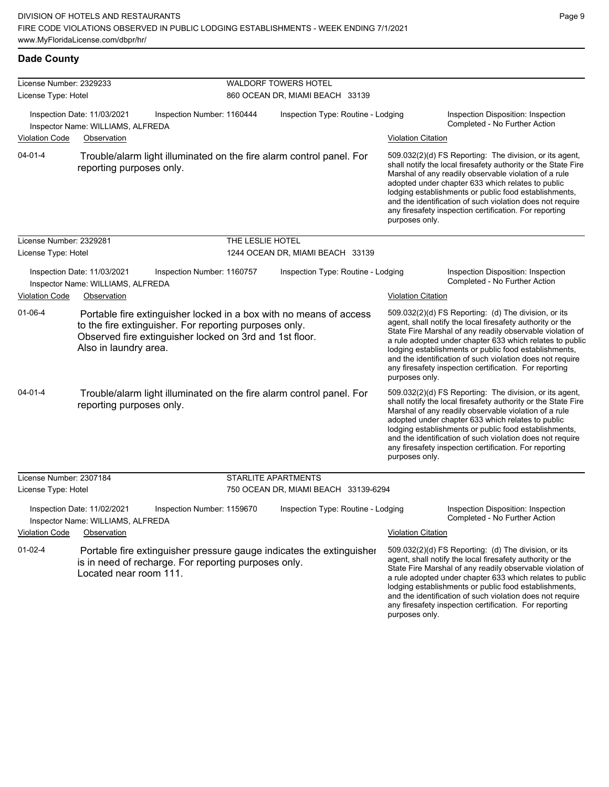| License Number: 2329233 |                                                                                                                                                                                                                  |                  | <b>WALDORF TOWERS HOTEL</b>          |                           |                                                                                                                                                                                                                                                                                                                                                                                                                            |  |  |
|-------------------------|------------------------------------------------------------------------------------------------------------------------------------------------------------------------------------------------------------------|------------------|--------------------------------------|---------------------------|----------------------------------------------------------------------------------------------------------------------------------------------------------------------------------------------------------------------------------------------------------------------------------------------------------------------------------------------------------------------------------------------------------------------------|--|--|
| License Type: Hotel     |                                                                                                                                                                                                                  |                  | 860 OCEAN DR, MIAMI BEACH 33139      |                           |                                                                                                                                                                                                                                                                                                                                                                                                                            |  |  |
|                         | Inspection Date: 11/03/2021<br>Inspection Number: 1160444<br>Inspector Name: WILLIAMS, ALFREDA                                                                                                                   |                  | Inspection Type: Routine - Lodging   |                           | Inspection Disposition: Inspection<br>Completed - No Further Action                                                                                                                                                                                                                                                                                                                                                        |  |  |
| Violation Code          | Observation                                                                                                                                                                                                      |                  |                                      | <b>Violation Citation</b> |                                                                                                                                                                                                                                                                                                                                                                                                                            |  |  |
| $04 - 01 - 4$           | Trouble/alarm light illuminated on the fire alarm control panel. For<br>reporting purposes only.                                                                                                                 |                  |                                      | purposes only.            | 509.032(2)(d) FS Reporting: The division, or its agent,<br>shall notify the local firesafety authority or the State Fire<br>Marshal of any readily observable violation of a rule<br>adopted under chapter 633 which relates to public<br>lodging establishments or public food establishments,<br>and the identification of such violation does not require<br>any firesafety inspection certification. For reporting     |  |  |
| License Number: 2329281 |                                                                                                                                                                                                                  | THE LESLIE HOTEL |                                      |                           |                                                                                                                                                                                                                                                                                                                                                                                                                            |  |  |
| License Type: Hotel     |                                                                                                                                                                                                                  |                  | 1244 OCEAN DR, MIAMI BEACH 33139     |                           |                                                                                                                                                                                                                                                                                                                                                                                                                            |  |  |
|                         | Inspection Date: 11/03/2021<br>Inspection Number: 1160757<br>Inspector Name: WILLIAMS, ALFREDA                                                                                                                   |                  | Inspection Type: Routine - Lodging   |                           | Inspection Disposition: Inspection<br>Completed - No Further Action                                                                                                                                                                                                                                                                                                                                                        |  |  |
| Violation Code          | Observation                                                                                                                                                                                                      |                  |                                      | <b>Violation Citation</b> |                                                                                                                                                                                                                                                                                                                                                                                                                            |  |  |
| $01 - 06 - 4$           | Portable fire extinguisher locked in a box with no means of access<br>to the fire extinguisher. For reporting purposes only.<br>Observed fire extinguisher locked on 3rd and 1st floor.<br>Also in laundry area. |                  |                                      | purposes only.            | 509.032(2)(d) FS Reporting: (d) The division, or its<br>agent, shall notify the local firesafety authority or the<br>State Fire Marshal of any readily observable violation of<br>a rule adopted under chapter 633 which relates to public<br>lodging establishments or public food establishments,<br>and the identification of such violation does not require<br>any firesafety inspection certification. For reporting |  |  |
| $04 - 01 - 4$           | Trouble/alarm light illuminated on the fire alarm control panel. For<br>reporting purposes only.                                                                                                                 |                  |                                      | purposes only.            | 509.032(2)(d) FS Reporting: The division, or its agent,<br>shall notify the local firesafety authority or the State Fire<br>Marshal of any readily observable violation of a rule<br>adopted under chapter 633 which relates to public<br>lodging establishments or public food establishments,<br>and the identification of such violation does not require<br>any firesafety inspection certification. For reporting     |  |  |
| License Number: 2307184 |                                                                                                                                                                                                                  |                  | STARLITE APARTMENTS                  |                           |                                                                                                                                                                                                                                                                                                                                                                                                                            |  |  |
| License Type: Hotel     |                                                                                                                                                                                                                  |                  | 750 OCEAN DR, MIAMI BEACH 33139-6294 |                           |                                                                                                                                                                                                                                                                                                                                                                                                                            |  |  |
|                         | Inspection Date: 11/02/2021<br>Inspection Number: 1159670<br>Inspector Name: WILLIAMS, ALFREDA                                                                                                                   |                  | Inspection Type: Routine - Lodging   |                           | Inspection Disposition: Inspection<br>Completed - No Further Action                                                                                                                                                                                                                                                                                                                                                        |  |  |
| <b>Violation Code</b>   | Observation                                                                                                                                                                                                      |                  |                                      | <b>Violation Citation</b> |                                                                                                                                                                                                                                                                                                                                                                                                                            |  |  |
| $01 - 02 - 4$           | Portable fire extinguisher pressure gauge indicates the extinguisher<br>is in need of recharge. For reporting purposes only.<br>Located near room 111.                                                           |                  |                                      |                           | 509.032(2)(d) FS Reporting: (d) The division, or its<br>agent, shall notify the local firesafety authority or the<br>State Fire Marshal of any readily observable violation of<br>a rule adopted under chapter 633 which relates to public<br>lodging establishments or public food establishments,<br>and the identification of such violation does not require<br>any firesafety inspection certification. For reporting |  |  |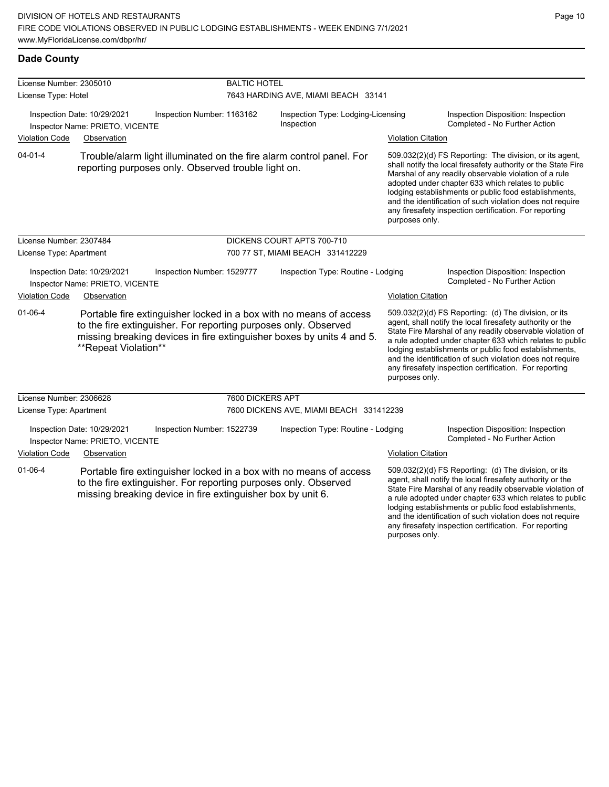a rule adopted under chapter 633 which relates to public lodging establishments or public food establishments, and the identification of such violation does not require any firesafety inspection certification. For reporting

| License Number: 2305010 |                                                                |                                                                                                                                | <b>BALTIC HOTEL</b>                 |                                                                                                                                             |                           |                                                                                                                                                                                                                                                                                                                                                                                                                            |  |
|-------------------------|----------------------------------------------------------------|--------------------------------------------------------------------------------------------------------------------------------|-------------------------------------|---------------------------------------------------------------------------------------------------------------------------------------------|---------------------------|----------------------------------------------------------------------------------------------------------------------------------------------------------------------------------------------------------------------------------------------------------------------------------------------------------------------------------------------------------------------------------------------------------------------------|--|
| License Type: Hotel     |                                                                |                                                                                                                                | 7643 HARDING AVE, MIAMI BEACH 33141 |                                                                                                                                             |                           |                                                                                                                                                                                                                                                                                                                                                                                                                            |  |
|                         | Inspection Date: 10/29/2021<br>Inspector Name: PRIETO, VICENTE | Inspection Number: 1163162                                                                                                     |                                     | Inspection Type: Lodging-Licensing<br>Inspection                                                                                            |                           | Inspection Disposition: Inspection<br>Completed - No Further Action                                                                                                                                                                                                                                                                                                                                                        |  |
| <b>Violation Code</b>   | Observation                                                    |                                                                                                                                |                                     |                                                                                                                                             | <b>Violation Citation</b> |                                                                                                                                                                                                                                                                                                                                                                                                                            |  |
| $04 - 01 - 4$           |                                                                | reporting purposes only. Observed trouble light on.                                                                            |                                     | Trouble/alarm light illuminated on the fire alarm control panel. For                                                                        | purposes only.            | 509.032(2)(d) FS Reporting: The division, or its agent,<br>shall notify the local firesafety authority or the State Fire<br>Marshal of any readily observable violation of a rule<br>adopted under chapter 633 which relates to public<br>lodging establishments or public food establishments,<br>and the identification of such violation does not require<br>any firesafety inspection certification. For reporting     |  |
| License Number: 2307484 |                                                                |                                                                                                                                |                                     | DICKENS COURT APTS 700-710                                                                                                                  |                           |                                                                                                                                                                                                                                                                                                                                                                                                                            |  |
| License Type: Apartment |                                                                |                                                                                                                                |                                     | 700 77 ST, MIAMI BEACH 331412229                                                                                                            |                           |                                                                                                                                                                                                                                                                                                                                                                                                                            |  |
|                         | Inspection Date: 10/29/2021<br>Inspector Name: PRIETO, VICENTE | Inspection Number: 1529777                                                                                                     |                                     | Inspection Type: Routine - Lodging                                                                                                          |                           | Inspection Disposition: Inspection<br>Completed - No Further Action                                                                                                                                                                                                                                                                                                                                                        |  |
| <b>Violation Code</b>   | Observation                                                    |                                                                                                                                |                                     |                                                                                                                                             | <b>Violation Citation</b> |                                                                                                                                                                                                                                                                                                                                                                                                                            |  |
| $01 - 06 - 4$           | **Repeat Violation**                                           | to the fire extinguisher. For reporting purposes only. Observed                                                                |                                     | Portable fire extinguisher locked in a box with no means of access<br>missing breaking devices in fire extinguisher boxes by units 4 and 5. | purposes only.            | 509.032(2)(d) FS Reporting: (d) The division, or its<br>agent, shall notify the local firesafety authority or the<br>State Fire Marshal of any readily observable violation of<br>a rule adopted under chapter 633 which relates to public<br>lodging establishments or public food establishments,<br>and the identification of such violation does not require<br>any firesafety inspection certification. For reporting |  |
| License Number: 2306628 |                                                                |                                                                                                                                | 7600 DICKERS APT                    |                                                                                                                                             |                           |                                                                                                                                                                                                                                                                                                                                                                                                                            |  |
| License Type: Apartment |                                                                |                                                                                                                                |                                     | 7600 DICKENS AVE, MIAMI BEACH 331412239                                                                                                     |                           |                                                                                                                                                                                                                                                                                                                                                                                                                            |  |
|                         | Inspection Date: 10/29/2021<br>Inspector Name: PRIETO, VICENTE | Inspection Number: 1522739                                                                                                     |                                     | Inspection Type: Routine - Lodging                                                                                                          |                           | Inspection Disposition: Inspection<br>Completed - No Further Action                                                                                                                                                                                                                                                                                                                                                        |  |
| <b>Violation Code</b>   | Observation                                                    |                                                                                                                                |                                     |                                                                                                                                             | <b>Violation Citation</b> |                                                                                                                                                                                                                                                                                                                                                                                                                            |  |
| 01-06-4                 |                                                                | to the fire extinguisher. For reporting purposes only. Observed<br>missing breaking device in fire extinguisher box by unit 6. |                                     | Portable fire extinguisher locked in a box with no means of access                                                                          |                           | 509.032(2)(d) FS Reporting: (d) The division, or its<br>agent, shall notify the local firesafety authority or the<br>State Fire Marshal of any readily observable violation of<br>a rule adopted under chapter 633 which relates to public                                                                                                                                                                                 |  |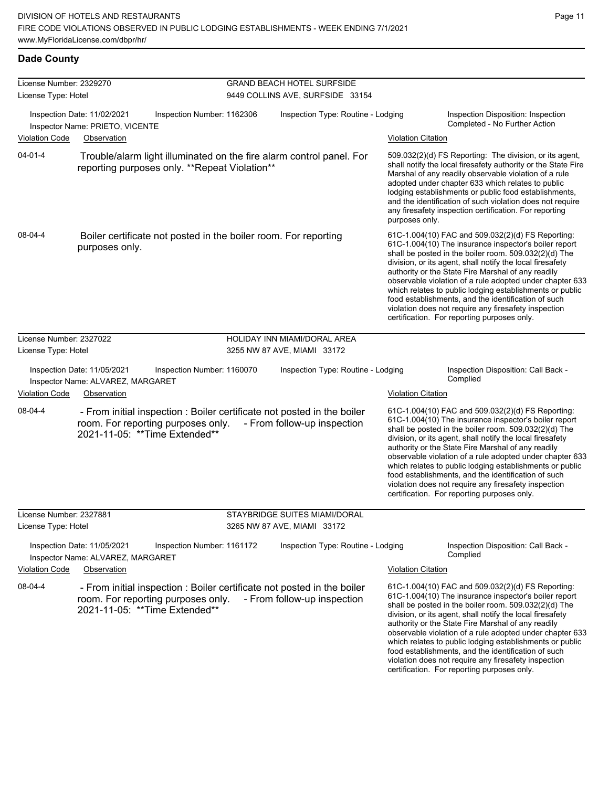food establishments, and the identification of such violation does not require any firesafety inspection certification. For reporting purposes only.

#### **Dade County**

| License Number: 2329270 |                                                                                                                                                 | <b>GRAND BEACH HOTEL SURFSIDE</b>  |                           |                                                                                                                                                                                                                                                                                                                                                                                                                                                                                                                                                                              |
|-------------------------|-------------------------------------------------------------------------------------------------------------------------------------------------|------------------------------------|---------------------------|------------------------------------------------------------------------------------------------------------------------------------------------------------------------------------------------------------------------------------------------------------------------------------------------------------------------------------------------------------------------------------------------------------------------------------------------------------------------------------------------------------------------------------------------------------------------------|
| License Type: Hotel     |                                                                                                                                                 | 9449 COLLINS AVE, SURFSIDE 33154   |                           |                                                                                                                                                                                                                                                                                                                                                                                                                                                                                                                                                                              |
|                         | Inspection Date: 11/02/2021<br>Inspection Number: 1162306<br>Inspector Name: PRIETO, VICENTE                                                    | Inspection Type: Routine - Lodging |                           | Inspection Disposition: Inspection<br>Completed - No Further Action                                                                                                                                                                                                                                                                                                                                                                                                                                                                                                          |
| Violation Code          | Observation                                                                                                                                     |                                    | <b>Violation Citation</b> |                                                                                                                                                                                                                                                                                                                                                                                                                                                                                                                                                                              |
| $04 - 01 - 4$           | Trouble/alarm light illuminated on the fire alarm control panel. For<br>reporting purposes only. **Repeat Violation**                           |                                    | purposes only.            | 509.032(2)(d) FS Reporting: The division, or its agent,<br>shall notify the local firesafety authority or the State Fire<br>Marshal of any readily observable violation of a rule<br>adopted under chapter 633 which relates to public<br>lodging establishments or public food establishments,<br>and the identification of such violation does not require<br>any firesafety inspection certification. For reporting                                                                                                                                                       |
| 08-04-4                 | Boiler certificate not posted in the boiler room. For reporting<br>purposes only.                                                               |                                    |                           | 61C-1.004(10) FAC and 509.032(2)(d) FS Reporting:<br>61C-1.004(10) The insurance inspector's boiler report<br>shall be posted in the boiler room. 509.032(2)(d) The<br>division, or its agent, shall notify the local firesafety<br>authority or the State Fire Marshal of any readily<br>observable violation of a rule adopted under chapter 633<br>which relates to public lodging establishments or public<br>food establishments, and the identification of such<br>violation does not require any firesafety inspection<br>certification. For reporting purposes only. |
| License Number: 2327022 |                                                                                                                                                 | HOLIDAY INN MIAMI/DORAL AREA       |                           |                                                                                                                                                                                                                                                                                                                                                                                                                                                                                                                                                                              |
| License Type: Hotel     |                                                                                                                                                 | 3255 NW 87 AVE, MIAMI 33172        |                           |                                                                                                                                                                                                                                                                                                                                                                                                                                                                                                                                                                              |
|                         | Inspection Date: 11/05/2021<br>Inspection Number: 1160070<br>Inspector Name: ALVAREZ, MARGARET                                                  | Inspection Type: Routine - Lodging |                           | Inspection Disposition: Call Back -<br>Complied                                                                                                                                                                                                                                                                                                                                                                                                                                                                                                                              |
| <b>Violation Code</b>   | Observation                                                                                                                                     |                                    | <b>Violation Citation</b> |                                                                                                                                                                                                                                                                                                                                                                                                                                                                                                                                                                              |
| 08-04-4                 | - From initial inspection : Boiler certificate not posted in the boiler<br>room. For reporting purposes only.<br>2021-11-05: ** Time Extended** | - From follow-up inspection        |                           | 61C-1.004(10) FAC and 509.032(2)(d) FS Reporting:<br>61C-1.004(10) The insurance inspector's boiler report<br>shall be posted in the boiler room. 509.032(2)(d) The<br>division, or its agent, shall notify the local firesafety<br>authority or the State Fire Marshal of any readily<br>observable violation of a rule adopted under chapter 633<br>which relates to public lodging establishments or public<br>food establishments, and the identification of such<br>violation does not require any firesafety inspection<br>certification. For reporting purposes only. |
| License Number: 2327881 |                                                                                                                                                 | STAYBRIDGE SUITES MIAMI/DORAL      |                           |                                                                                                                                                                                                                                                                                                                                                                                                                                                                                                                                                                              |
| License Type: Hotel     |                                                                                                                                                 | 3265 NW 87 AVE, MIAMI 33172        |                           |                                                                                                                                                                                                                                                                                                                                                                                                                                                                                                                                                                              |
|                         | Inspection Date: 11/05/2021<br>Inspection Number: 1161172<br>Inspector Name: ALVAREZ, MARGARET                                                  | Inspection Type: Routine - Lodging |                           | Inspection Disposition: Call Back -<br>Complied                                                                                                                                                                                                                                                                                                                                                                                                                                                                                                                              |
| Violation Code          | Observation                                                                                                                                     |                                    | <b>Violation Citation</b> |                                                                                                                                                                                                                                                                                                                                                                                                                                                                                                                                                                              |
| 08-04-4                 | - From initial inspection : Boiler certificate not posted in the boiler<br>room. For reporting purposes only.<br>2021-11-05: ** Time Extended** | - From follow-up inspection        |                           | 61C-1.004(10) FAC and 509.032(2)(d) FS Reporting:<br>61C-1.004(10) The insurance inspector's boiler report<br>shall be posted in the boiler room. 509.032(2)(d) The<br>division, or its agent, shall notify the local firesafety<br>authority or the State Fire Marshal of any readily<br>observable violation of a rule adopted under chapter 633<br>which relates to public lodging establishments or public                                                                                                                                                               |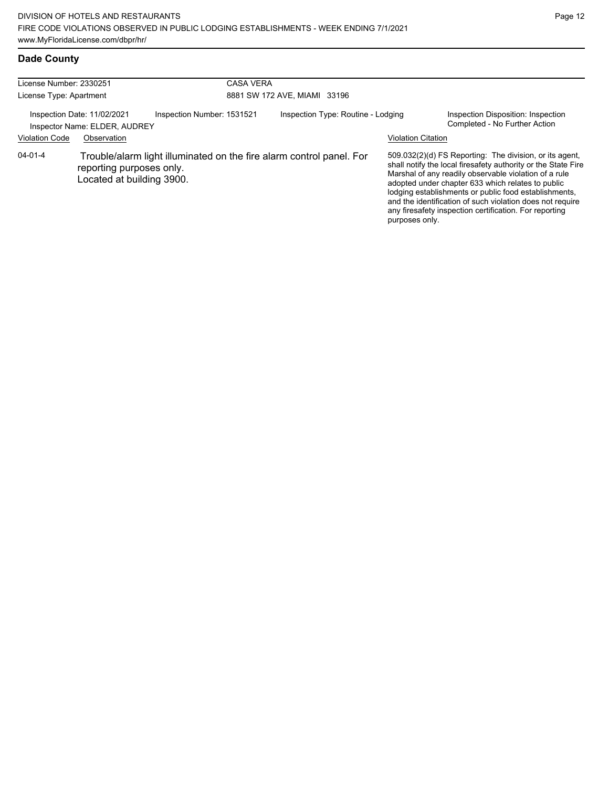| License Number: 2330251 |                                                              |                            | <b>CASA VERA</b> |                                                                      |                           |                                                                                                                                                                                                                                                                                                                                                                                                                        |
|-------------------------|--------------------------------------------------------------|----------------------------|------------------|----------------------------------------------------------------------|---------------------------|------------------------------------------------------------------------------------------------------------------------------------------------------------------------------------------------------------------------------------------------------------------------------------------------------------------------------------------------------------------------------------------------------------------------|
| License Type: Apartment |                                                              |                            |                  | 8881 SW 172 AVE, MIAMI 33196                                         |                           |                                                                                                                                                                                                                                                                                                                                                                                                                        |
|                         | Inspection Date: 11/02/2021<br>Inspector Name: ELDER, AUDREY | Inspection Number: 1531521 |                  | Inspection Type: Routine - Lodging                                   |                           | Inspection Disposition: Inspection<br>Completed - No Further Action                                                                                                                                                                                                                                                                                                                                                    |
| <b>Violation Code</b>   | Observation                                                  |                            |                  |                                                                      | <b>Violation Citation</b> |                                                                                                                                                                                                                                                                                                                                                                                                                        |
| $04 - 01 - 4$           | reporting purposes only.<br>Located at building 3900.        |                            |                  | Trouble/alarm light illuminated on the fire alarm control panel. For | purposes only.            | 509.032(2)(d) FS Reporting: The division, or its agent,<br>shall notify the local firesafety authority or the State Fire<br>Marshal of any readily observable violation of a rule<br>adopted under chapter 633 which relates to public<br>lodging establishments or public food establishments,<br>and the identification of such violation does not require<br>any firesafety inspection certification. For reporting |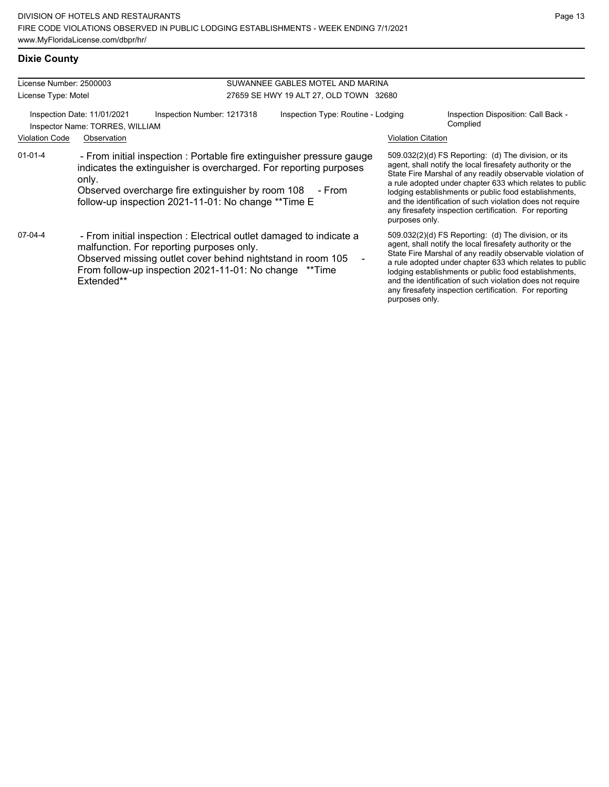# **Dixie County**

| License Number: 2500003<br>License Type: Motel |                                                                                                                                                                                                                                                                         | SUWANNEE GABLES MOTEL AND MARINA<br>27659 SE HWY 19 ALT 27, OLD TOWN 32680 |                           |                                                                                                                                                                                                                                                                                                                                                                                                                            |  |
|------------------------------------------------|-------------------------------------------------------------------------------------------------------------------------------------------------------------------------------------------------------------------------------------------------------------------------|----------------------------------------------------------------------------|---------------------------|----------------------------------------------------------------------------------------------------------------------------------------------------------------------------------------------------------------------------------------------------------------------------------------------------------------------------------------------------------------------------------------------------------------------------|--|
| <b>Violation Code</b>                          | Inspection Date: 11/01/2021<br>Inspection Number: 1217318<br>Inspector Name: TORRES, WILLIAM<br>Observation                                                                                                                                                             | Inspection Type: Routine - Lodging                                         | <b>Violation Citation</b> | Inspection Disposition: Call Back -<br>Complied                                                                                                                                                                                                                                                                                                                                                                            |  |
| $01 - 01 - 4$                                  | - From initial inspection : Portable fire extinguisher pressure gauge<br>indicates the extinguisher is overcharged. For reporting purposes<br>only.<br>Observed overcharge fire extinguisher by room 108 - From<br>follow-up inspection 2021-11-01: No change ** Time E |                                                                            | purposes only.            | 509.032(2)(d) FS Reporting: (d) The division, or its<br>agent, shall notify the local firesafety authority or the<br>State Fire Marshal of any readily observable violation of<br>a rule adopted under chapter 633 which relates to public<br>lodging establishments or public food establishments,<br>and the identification of such violation does not require<br>any firesafety inspection certification. For reporting |  |
| 07-04-4                                        | - From initial inspection : Electrical outlet damaged to indicate a<br>malfunction. For reporting purposes only.<br>Observed missing outlet cover behind nightstand in room 105<br>From follow-up inspection 2021-11-01: No change ** Time<br>Extended**                |                                                                            | purposes only.            | 509.032(2)(d) FS Reporting: (d) The division, or its<br>agent, shall notify the local firesafety authority or the<br>State Fire Marshal of any readily observable violation of<br>a rule adopted under chapter 633 which relates to public<br>lodging establishments or public food establishments,<br>and the identification of such violation does not require<br>any firesafety inspection certification. For reporting |  |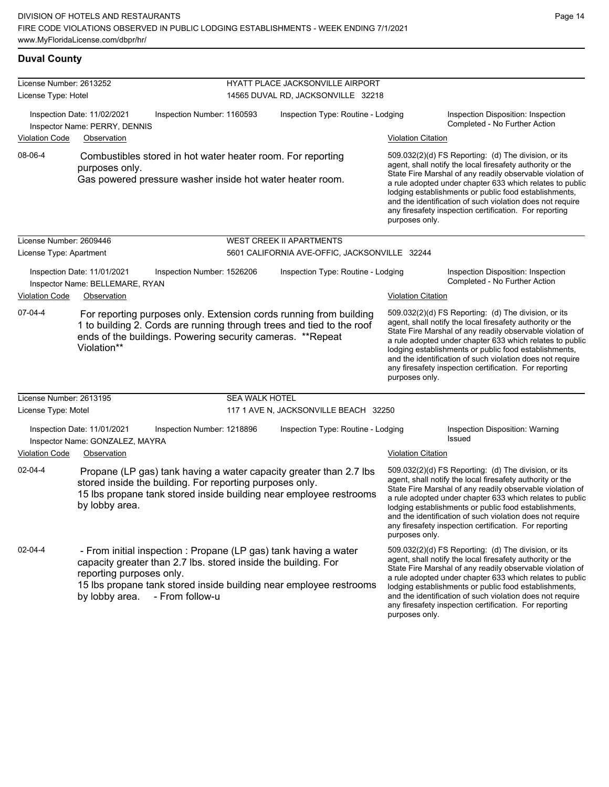#### **Duval County**

| License Number: 2613252 |                                                                                                                                                                                                                                                                           |                            |                                                                        |                           |                                                                                                                                                                                                                                                                                                                                                                                                                            |  |  |
|-------------------------|---------------------------------------------------------------------------------------------------------------------------------------------------------------------------------------------------------------------------------------------------------------------------|----------------------------|------------------------------------------------------------------------|---------------------------|----------------------------------------------------------------------------------------------------------------------------------------------------------------------------------------------------------------------------------------------------------------------------------------------------------------------------------------------------------------------------------------------------------------------------|--|--|
| License Type: Hotel     |                                                                                                                                                                                                                                                                           |                            | HYATT PLACE JACKSONVILLE AIRPORT<br>14565 DUVAL RD, JACKSONVILLE 32218 |                           |                                                                                                                                                                                                                                                                                                                                                                                                                            |  |  |
|                         |                                                                                                                                                                                                                                                                           |                            |                                                                        |                           |                                                                                                                                                                                                                                                                                                                                                                                                                            |  |  |
|                         | Inspection Date: 11/02/2021<br>Inspector Name: PERRY, DENNIS                                                                                                                                                                                                              | Inspection Number: 1160593 | Inspection Type: Routine - Lodging                                     |                           | Inspection Disposition: Inspection<br>Completed - No Further Action                                                                                                                                                                                                                                                                                                                                                        |  |  |
| <b>Violation Code</b>   | Observation                                                                                                                                                                                                                                                               |                            |                                                                        | <b>Violation Citation</b> |                                                                                                                                                                                                                                                                                                                                                                                                                            |  |  |
| 08-06-4                 | Combustibles stored in hot water heater room. For reporting<br>purposes only.<br>Gas powered pressure washer inside hot water heater room.                                                                                                                                |                            |                                                                        | purposes only.            | 509.032(2)(d) FS Reporting: (d) The division, or its<br>agent, shall notify the local firesafety authority or the<br>State Fire Marshal of any readily observable violation of<br>a rule adopted under chapter 633 which relates to public<br>lodging establishments or public food establishments,<br>and the identification of such violation does not require<br>any firesafety inspection certification. For reporting |  |  |
| License Number: 2609446 |                                                                                                                                                                                                                                                                           |                            | <b>WEST CREEK II APARTMENTS</b>                                        |                           |                                                                                                                                                                                                                                                                                                                                                                                                                            |  |  |
| License Type: Apartment |                                                                                                                                                                                                                                                                           |                            | 5601 CALIFORNIA AVE-OFFIC, JACKSONVILLE 32244                          |                           |                                                                                                                                                                                                                                                                                                                                                                                                                            |  |  |
|                         | Inspection Date: 11/01/2021<br>Inspection Number: 1526206<br>Inspector Name: BELLEMARE, RYAN                                                                                                                                                                              |                            | Inspection Type: Routine - Lodging                                     |                           | Inspection Disposition: Inspection<br>Completed - No Further Action                                                                                                                                                                                                                                                                                                                                                        |  |  |
| <b>Violation Code</b>   | Observation                                                                                                                                                                                                                                                               |                            |                                                                        | <b>Violation Citation</b> |                                                                                                                                                                                                                                                                                                                                                                                                                            |  |  |
| $07-04-4$               | For reporting purposes only. Extension cords running from building<br>1 to building 2. Cords are running through trees and tied to the roof<br>ends of the buildings. Powering security cameras. **Repeat<br>Violation**                                                  |                            |                                                                        | purposes only.            | 509.032(2)(d) FS Reporting: (d) The division, or its<br>agent, shall notify the local firesafety authority or the<br>State Fire Marshal of any readily observable violation of<br>a rule adopted under chapter 633 which relates to public<br>lodging establishments or public food establishments,<br>and the identification of such violation does not require<br>any firesafety inspection certification. For reporting |  |  |
| License Number: 2613195 |                                                                                                                                                                                                                                                                           | <b>SEA WALK HOTEL</b>      |                                                                        |                           |                                                                                                                                                                                                                                                                                                                                                                                                                            |  |  |
| License Type: Motel     |                                                                                                                                                                                                                                                                           |                            | 117 1 AVE N, JACKSONVILLE BEACH 32250                                  |                           |                                                                                                                                                                                                                                                                                                                                                                                                                            |  |  |
|                         | Inspection Date: 11/01/2021<br>Inspector Name: GONZALEZ, MAYRA                                                                                                                                                                                                            | Inspection Number: 1218896 | Inspection Type: Routine - Lodging                                     |                           | Inspection Disposition: Warning<br><b>Issued</b>                                                                                                                                                                                                                                                                                                                                                                           |  |  |
| <b>Violation Code</b>   | Observation                                                                                                                                                                                                                                                               |                            |                                                                        | <b>Violation Citation</b> |                                                                                                                                                                                                                                                                                                                                                                                                                            |  |  |
| $02 - 04 - 4$           | Propane (LP gas) tank having a water capacity greater than 2.7 lbs.<br>stored inside the building. For reporting purposes only.<br>15 lbs propane tank stored inside building near employee restrooms<br>by lobby area.                                                   |                            |                                                                        | purposes only.            | 509.032(2)(d) FS Reporting: (d) The division, or its<br>agent, shall notify the local firesafety authority or the<br>State Fire Marshal of any readily observable violation of<br>a rule adopted under chapter 633 which relates to public<br>lodging establishments or public food establishments,<br>and the identification of such violation does not require<br>any firesafety inspection certification. For reporting |  |  |
| 02-04-4                 | - From initial inspection : Propane (LP gas) tank having a water<br>capacity greater than 2.7 lbs. stored inside the building. For<br>reporting purposes only.<br>15 lbs propane tank stored inside building near employee restrooms<br>by lobby area.<br>- From follow-u |                            |                                                                        | purposes only.            | 509.032(2)(d) FS Reporting: (d) The division, or its<br>agent, shall notify the local firesafety authority or the<br>State Fire Marshal of any readily observable violation of<br>a rule adopted under chapter 633 which relates to public<br>lodging establishments or public food establishments,<br>and the identification of such violation does not require<br>any firesafety inspection certification. For reporting |  |  |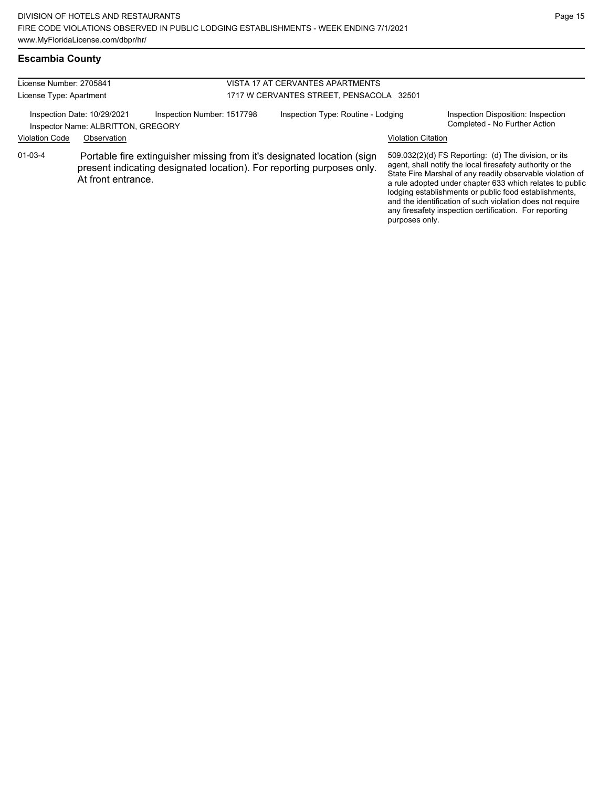# **Escambia County**

| License Number: 2705841<br>License Type: Apartment                                              |                    | VISTA 17 AT CERVANTES APARTMENTS<br>1717 W CERVANTES STREET, PENSACOLA 32501 |                                    |                                                                                                                                                 |                                                                     |                                                                                                                                                                                                                                                                                                                                                                                                                            |
|-------------------------------------------------------------------------------------------------|--------------------|------------------------------------------------------------------------------|------------------------------------|-------------------------------------------------------------------------------------------------------------------------------------------------|---------------------------------------------------------------------|----------------------------------------------------------------------------------------------------------------------------------------------------------------------------------------------------------------------------------------------------------------------------------------------------------------------------------------------------------------------------------------------------------------------------|
| Inspection Number: 1517798<br>Inspection Date: 10/29/2021<br>Inspector Name: ALBRITTON, GREGORY |                    |                                                                              | Inspection Type: Routine - Lodging |                                                                                                                                                 | Inspection Disposition: Inspection<br>Completed - No Further Action |                                                                                                                                                                                                                                                                                                                                                                                                                            |
| <b>Violation Code</b>                                                                           | Observation        |                                                                              |                                    |                                                                                                                                                 | <b>Violation Citation</b>                                           |                                                                                                                                                                                                                                                                                                                                                                                                                            |
| $01 - 03 - 4$                                                                                   | At front entrance. |                                                                              |                                    | Portable fire extinguisher missing from it's designated location (sign<br>present indicating designated location). For reporting purposes only. | purposes only.                                                      | 509.032(2)(d) FS Reporting: (d) The division, or its<br>agent, shall notify the local firesafety authority or the<br>State Fire Marshal of any readily observable violation of<br>a rule adopted under chapter 633 which relates to public<br>lodging establishments or public food establishments,<br>and the identification of such violation does not require<br>any firesafety inspection certification. For reporting |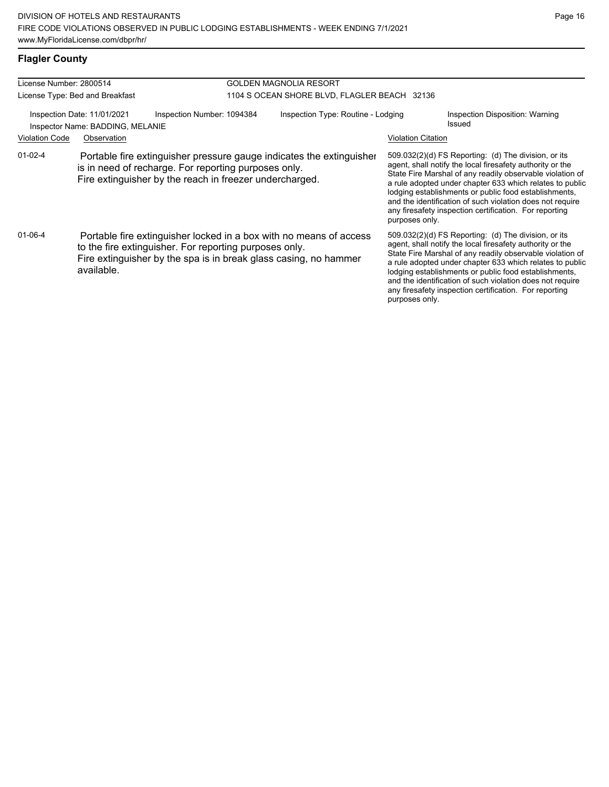# **Flagler County**

| License Number: 2800514                                         |                                 |                                                                                                                                                                                                  | <b>GOLDEN MAGNOLIA RESORT</b>                |                                                                                                                                                                                                                                                                                                                                                                                                                                                |                                                                                                                                                                                                                                                                                                                                                                                                                            |  |  |
|-----------------------------------------------------------------|---------------------------------|--------------------------------------------------------------------------------------------------------------------------------------------------------------------------------------------------|----------------------------------------------|------------------------------------------------------------------------------------------------------------------------------------------------------------------------------------------------------------------------------------------------------------------------------------------------------------------------------------------------------------------------------------------------------------------------------------------------|----------------------------------------------------------------------------------------------------------------------------------------------------------------------------------------------------------------------------------------------------------------------------------------------------------------------------------------------------------------------------------------------------------------------------|--|--|
|                                                                 | License Type: Bed and Breakfast |                                                                                                                                                                                                  | 1104 S OCEAN SHORE BLVD, FLAGLER BEACH 32136 |                                                                                                                                                                                                                                                                                                                                                                                                                                                |                                                                                                                                                                                                                                                                                                                                                                                                                            |  |  |
| Inspection Date: 11/01/2021<br>Inspector Name: BADDING, MELANIE |                                 | Inspection Number: 1094384                                                                                                                                                                       | Inspection Type: Routine - Lodging<br>Issued |                                                                                                                                                                                                                                                                                                                                                                                                                                                | Inspection Disposition: Warning                                                                                                                                                                                                                                                                                                                                                                                            |  |  |
| <b>Violation Code</b>                                           | Observation                     |                                                                                                                                                                                                  |                                              | <b>Violation Citation</b>                                                                                                                                                                                                                                                                                                                                                                                                                      |                                                                                                                                                                                                                                                                                                                                                                                                                            |  |  |
| $01-02-4$                                                       |                                 | Portable fire extinguisher pressure gauge indicates the extinguisher<br>is in need of recharge. For reporting purposes only.<br>Fire extinguisher by the reach in freezer undercharged.          |                                              | $509.032(2)(d)$ FS Reporting: (d) The division, or its<br>agent, shall notify the local firesafety authority or the<br>State Fire Marshal of any readily observable violation of<br>a rule adopted under chapter 633 which relates to public<br>lodging establishments or public food establishments,<br>and the identification of such violation does not require<br>any firesafety inspection certification. For reporting<br>purposes only. |                                                                                                                                                                                                                                                                                                                                                                                                                            |  |  |
| 01-06-4                                                         | available.                      | Portable fire extinguisher locked in a box with no means of access<br>to the fire extinguisher. For reporting purposes only.<br>Fire extinguisher by the spa is in break glass casing, no hammer |                                              | purposes only.                                                                                                                                                                                                                                                                                                                                                                                                                                 | 509.032(2)(d) FS Reporting: (d) The division, or its<br>agent, shall notify the local firesafety authority or the<br>State Fire Marshal of any readily observable violation of<br>a rule adopted under chapter 633 which relates to public<br>lodging establishments or public food establishments,<br>and the identification of such violation does not require<br>any firesafety inspection certification. For reporting |  |  |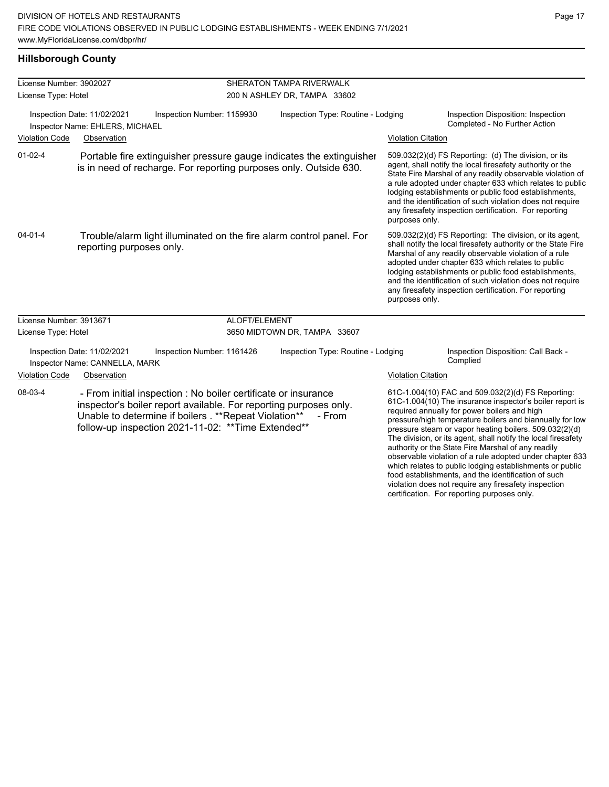violation does not require any firesafety inspection certification. For reporting purposes only.

#### **Hillsborough County**

| License Number: 3902027<br>License Type: Hotel |                                                                                                                                                                                                                                                      |               | SHERATON TAMPA RIVERWALK<br>200 N ASHLEY DR, TAMPA 33602 |                           |                                                                                                                                                                                                                                                                                                                                                                                                                                                                                                                                                                                           |  |  |
|------------------------------------------------|------------------------------------------------------------------------------------------------------------------------------------------------------------------------------------------------------------------------------------------------------|---------------|----------------------------------------------------------|---------------------------|-------------------------------------------------------------------------------------------------------------------------------------------------------------------------------------------------------------------------------------------------------------------------------------------------------------------------------------------------------------------------------------------------------------------------------------------------------------------------------------------------------------------------------------------------------------------------------------------|--|--|
|                                                | Inspection Date: 11/02/2021<br>Inspection Number: 1159930<br>Inspector Name: EHLERS, MICHAEL                                                                                                                                                         |               | Inspection Type: Routine - Lodging                       |                           | Inspection Disposition: Inspection<br>Completed - No Further Action                                                                                                                                                                                                                                                                                                                                                                                                                                                                                                                       |  |  |
| <b>Violation Code</b>                          | Observation                                                                                                                                                                                                                                          |               |                                                          | <b>Violation Citation</b> |                                                                                                                                                                                                                                                                                                                                                                                                                                                                                                                                                                                           |  |  |
| $01 - 02 - 4$                                  | Portable fire extinguisher pressure gauge indicates the extinguisher<br>is in need of recharge. For reporting purposes only. Outside 630.                                                                                                            |               |                                                          | purposes only.            | 509.032(2)(d) FS Reporting: (d) The division, or its<br>agent, shall notify the local firesafety authority or the<br>State Fire Marshal of any readily observable violation of<br>a rule adopted under chapter 633 which relates to public<br>lodging establishments or public food establishments,<br>and the identification of such violation does not require<br>any firesafety inspection certification. For reporting                                                                                                                                                                |  |  |
| $04 - 01 - 4$                                  | Trouble/alarm light illuminated on the fire alarm control panel. For<br>reporting purposes only.                                                                                                                                                     |               |                                                          | purposes only.            | 509.032(2)(d) FS Reporting: The division, or its agent,<br>shall notify the local firesafety authority or the State Fire<br>Marshal of any readily observable violation of a rule<br>adopted under chapter 633 which relates to public<br>lodging establishments or public food establishments,<br>and the identification of such violation does not require<br>any firesafety inspection certification. For reporting                                                                                                                                                                    |  |  |
| License Number: 3913671                        |                                                                                                                                                                                                                                                      | ALOFT/ELEMENT |                                                          |                           |                                                                                                                                                                                                                                                                                                                                                                                                                                                                                                                                                                                           |  |  |
| License Type: Hotel                            |                                                                                                                                                                                                                                                      |               | 3650 MIDTOWN DR, TAMPA 33607                             |                           |                                                                                                                                                                                                                                                                                                                                                                                                                                                                                                                                                                                           |  |  |
|                                                | Inspection Date: 11/02/2021<br>Inspection Number: 1161426<br>Inspector Name: CANNELLA, MARK                                                                                                                                                          |               | Inspection Type: Routine - Lodging                       |                           | Inspection Disposition: Call Back -<br>Complied                                                                                                                                                                                                                                                                                                                                                                                                                                                                                                                                           |  |  |
| <b>Violation Code</b>                          | Observation                                                                                                                                                                                                                                          |               |                                                          |                           | <b>Violation Citation</b>                                                                                                                                                                                                                                                                                                                                                                                                                                                                                                                                                                 |  |  |
| 08-03-4                                        | - From initial inspection : No boiler certificate or insurance<br>inspector's boiler report available. For reporting purposes only.<br>Unable to determine if boilers . ** Repeat Violation**<br>follow-up inspection 2021-11-02: ** Time Extended** |               | - From                                                   |                           | 61C-1.004(10) FAC and 509.032(2)(d) FS Reporting:<br>61C-1.004(10) The insurance inspector's boiler report is<br>required annually for power boilers and high<br>pressure/high temperature boilers and biannually for low<br>pressure steam or vapor heating boilers. 509.032(2)(d)<br>The division, or its agent, shall notify the local firesafety<br>authority or the State Fire Marshal of any readily<br>observable violation of a rule adopted under chapter 633<br>which relates to public lodging establishments or public<br>food establishments, and the identification of such |  |  |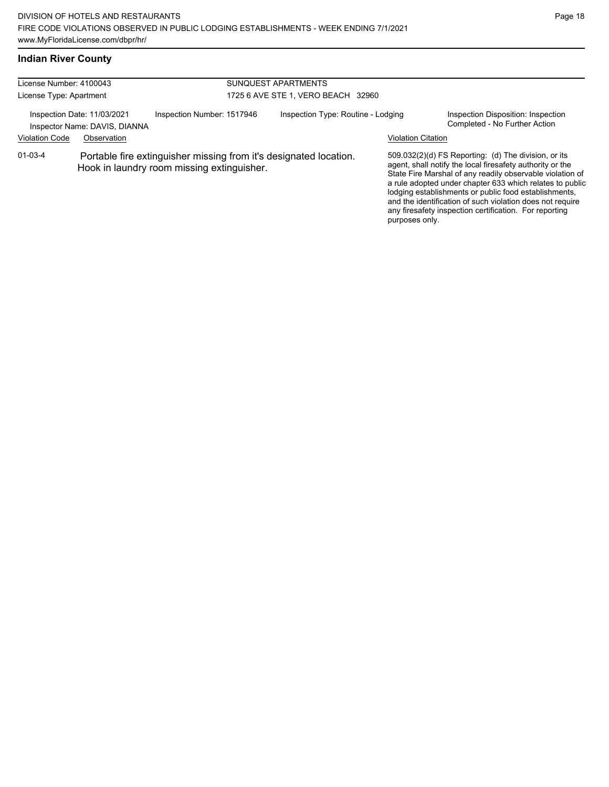#### **Indian River County**

| License Number: 4100043                                                                 |             |                                                                                                                 | SUNQUEST APARTMENTS<br>1725 6 AVE STE 1. VERO BEACH 32960 |                           |                                                                                                                                                                                                                                                                                                                                                                                                                            |  |
|-----------------------------------------------------------------------------------------|-------------|-----------------------------------------------------------------------------------------------------------------|-----------------------------------------------------------|---------------------------|----------------------------------------------------------------------------------------------------------------------------------------------------------------------------------------------------------------------------------------------------------------------------------------------------------------------------------------------------------------------------------------------------------------------------|--|
| License Type: Apartment<br>Inspection Date: 11/03/2021<br>Inspector Name: DAVIS, DIANNA |             | Inspection Number: 1517946                                                                                      | Inspection Type: Routine - Lodging                        |                           | Inspection Disposition: Inspection<br>Completed - No Further Action                                                                                                                                                                                                                                                                                                                                                        |  |
| <b>Violation Code</b>                                                                   | Observation |                                                                                                                 |                                                           | <b>Violation Citation</b> |                                                                                                                                                                                                                                                                                                                                                                                                                            |  |
| $01 - 03 - 4$                                                                           |             | Portable fire extinguisher missing from it's designated location.<br>Hook in laundry room missing extinguisher. |                                                           | purposes only.            | 509.032(2)(d) FS Reporting: (d) The division, or its<br>agent, shall notify the local firesafety authority or the<br>State Fire Marshal of any readily observable violation of<br>a rule adopted under chapter 633 which relates to public<br>lodging establishments or public food establishments,<br>and the identification of such violation does not require<br>any firesafety inspection certification. For reporting |  |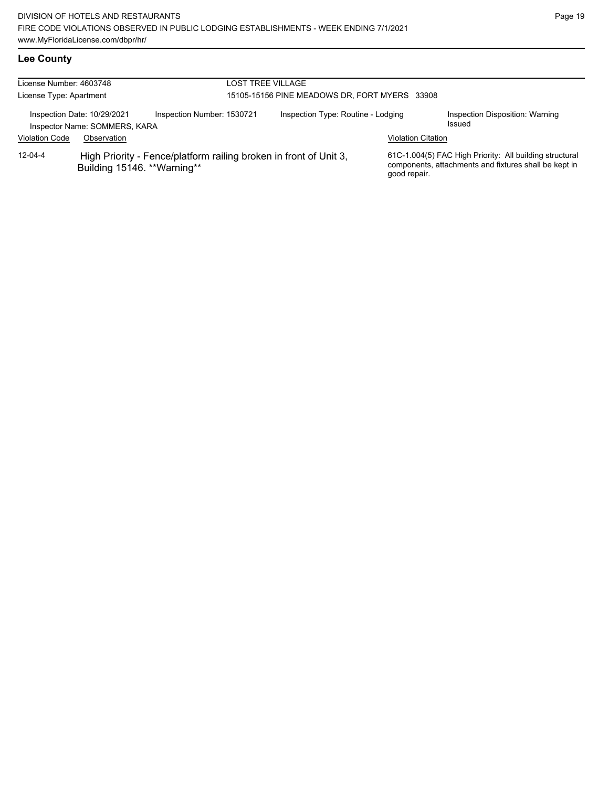| License Number: 4603748<br>License Type: Apartment |                                                              |                                                                   | LOST TREE VILLAGE<br>15105-15156 PINE MEADOWS DR, FORT MYERS 33908 |                                    |                           |                                                                                                                  |
|----------------------------------------------------|--------------------------------------------------------------|-------------------------------------------------------------------|--------------------------------------------------------------------|------------------------------------|---------------------------|------------------------------------------------------------------------------------------------------------------|
|                                                    | Inspection Date: 10/29/2021<br>Inspector Name: SOMMERS, KARA | Inspection Number: 1530721                                        |                                                                    | Inspection Type: Routine - Lodging |                           | Inspection Disposition: Warning<br>Issued                                                                        |
| <b>Violation Code</b>                              | Observation                                                  |                                                                   |                                                                    |                                    | <b>Violation Citation</b> |                                                                                                                  |
| $12 - 04 - 4$                                      | Building 15146. ** Warning**                                 | High Priority - Fence/platform railing broken in front of Unit 3, |                                                                    |                                    | good repair.              | 61C-1.004(5) FAC High Priority: All building structural<br>components, attachments and fixtures shall be kept in |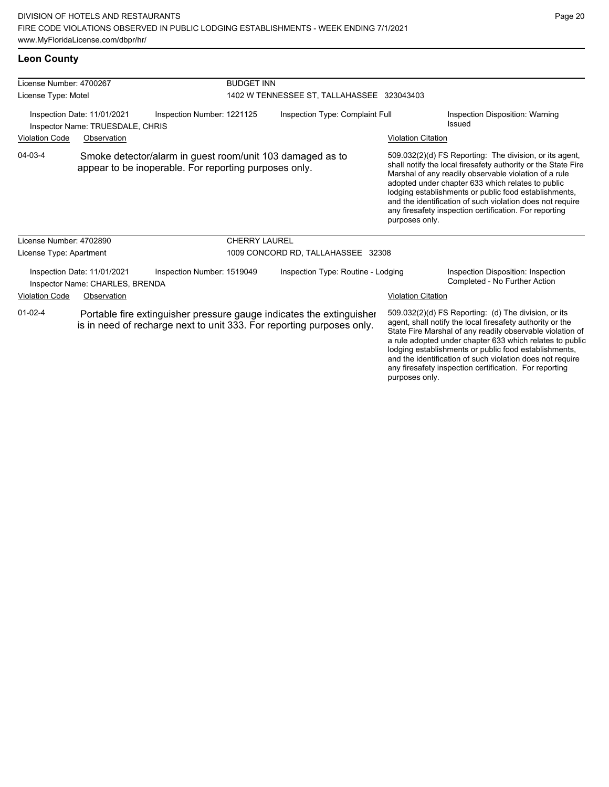| License Number: 4700267                                         |                                                                | <b>BUDGET INN</b>                                                                                                                             |                                            |                           |                                                                                                                                                                                                                                                                                                                                                                                                                        |
|-----------------------------------------------------------------|----------------------------------------------------------------|-----------------------------------------------------------------------------------------------------------------------------------------------|--------------------------------------------|---------------------------|------------------------------------------------------------------------------------------------------------------------------------------------------------------------------------------------------------------------------------------------------------------------------------------------------------------------------------------------------------------------------------------------------------------------|
| License Type: Motel                                             |                                                                |                                                                                                                                               | 1402 W TENNESSEE ST, TALLAHASSEE 323043403 |                           |                                                                                                                                                                                                                                                                                                                                                                                                                        |
| Inspection Date: 11/01/2021<br>Inspector Name: TRUESDALE, CHRIS |                                                                | Inspection Number: 1221125                                                                                                                    | Inspection Type: Complaint Full            |                           | Inspection Disposition: Warning<br>Issued                                                                                                                                                                                                                                                                                                                                                                              |
| <b>Violation Code</b>                                           | Observation                                                    |                                                                                                                                               |                                            | <b>Violation Citation</b> |                                                                                                                                                                                                                                                                                                                                                                                                                        |
| 04-03-4                                                         |                                                                | Smoke detector/alarm in guest room/unit 103 damaged as to<br>appear to be inoperable. For reporting purposes only.                            |                                            | purposes only.            | 509.032(2)(d) FS Reporting: The division, or its agent,<br>shall notify the local firesafety authority or the State Fire<br>Marshal of any readily observable violation of a rule<br>adopted under chapter 633 which relates to public<br>lodging establishments or public food establishments,<br>and the identification of such violation does not require<br>any firesafety inspection certification. For reporting |
| License Number: 4702890                                         |                                                                | <b>CHERRY LAUREL</b>                                                                                                                          |                                            |                           |                                                                                                                                                                                                                                                                                                                                                                                                                        |
| License Type: Apartment                                         |                                                                |                                                                                                                                               | 1009 CONCORD RD, TALLAHASSEE 32308         |                           |                                                                                                                                                                                                                                                                                                                                                                                                                        |
|                                                                 | Inspection Date: 11/01/2021<br>Inspector Name: CHARLES, BRENDA | Inspection Number: 1519049                                                                                                                    | Inspection Type: Routine - Lodging         |                           | Inspection Disposition: Inspection<br>Completed - No Further Action                                                                                                                                                                                                                                                                                                                                                    |
| <b>Violation Code</b>                                           | Observation                                                    |                                                                                                                                               |                                            | <b>Violation Citation</b> |                                                                                                                                                                                                                                                                                                                                                                                                                        |
| $01 - 02 - 4$                                                   |                                                                | Portable fire extinguisher pressure gauge indicates the extinguisher<br>is in need of recharge next to unit 333. For reporting purposes only. |                                            |                           | 509.032(2)(d) FS Reporting: (d) The division, or its<br>agent, shall notify the local firesafety authority or the<br>State Fire Marshal of any readily observable violation of<br>a rule adopted under chapter 633 which relates to public<br>lodging establishments or public food establishments,                                                                                                                    |

and the identification of such violation does not require any firesafety inspection certification. For reporting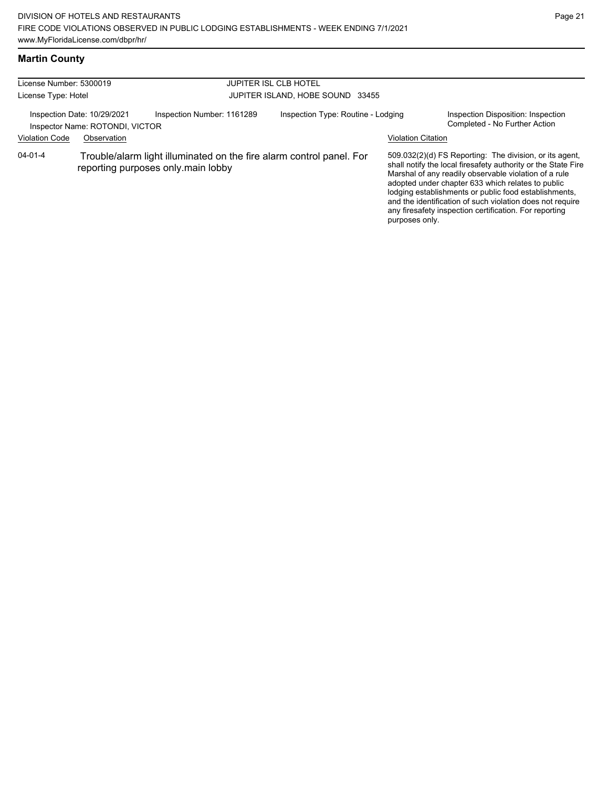#### **Martin County**

| License Number: 5300019<br>License Type: Hotel |                                                                |                                                                                                            | <b>JUPITER ISL CLB HOTEL</b><br>JUPITER ISLAND, HOBE SOUND 33455 |                           |                                                                                                                                                                                                                                                                                                                                                                                                                        |  |
|------------------------------------------------|----------------------------------------------------------------|------------------------------------------------------------------------------------------------------------|------------------------------------------------------------------|---------------------------|------------------------------------------------------------------------------------------------------------------------------------------------------------------------------------------------------------------------------------------------------------------------------------------------------------------------------------------------------------------------------------------------------------------------|--|
|                                                | Inspection Date: 10/29/2021<br>Inspector Name: ROTONDI, VICTOR | Inspection Number: 1161289                                                                                 | Inspection Type: Routine - Lodging                               |                           | Inspection Disposition: Inspection<br>Completed - No Further Action                                                                                                                                                                                                                                                                                                                                                    |  |
| <b>Violation Code</b>                          | Observation                                                    |                                                                                                            |                                                                  | <b>Violation Citation</b> |                                                                                                                                                                                                                                                                                                                                                                                                                        |  |
| 04-01-4                                        |                                                                | Trouble/alarm light illuminated on the fire alarm control panel. For<br>reporting purposes only.main lobby |                                                                  | purposes only.            | 509.032(2)(d) FS Reporting: The division, or its agent,<br>shall notify the local firesafety authority or the State Fire<br>Marshal of any readily observable violation of a rule<br>adopted under chapter 633 which relates to public<br>lodging establishments or public food establishments,<br>and the identification of such violation does not require<br>any firesafety inspection certification. For reporting |  |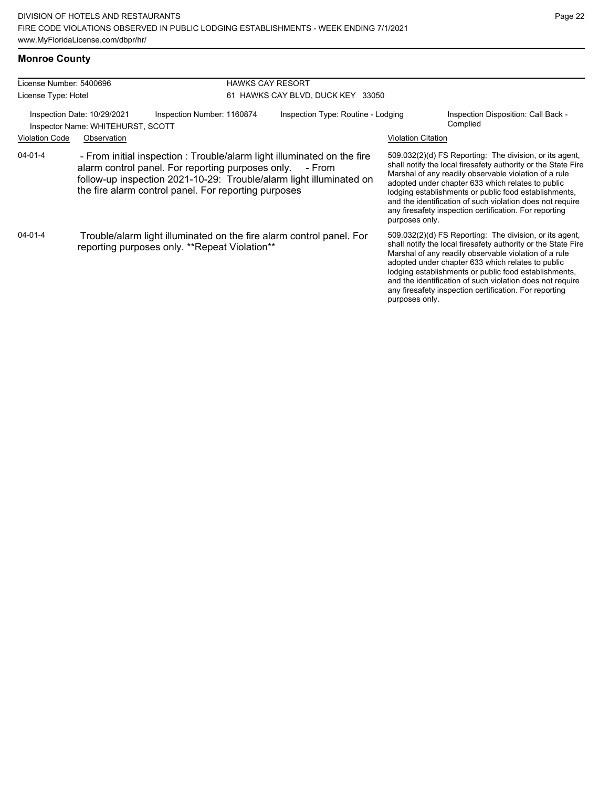#### **Monroe County**

| License Number: 5400696                                                                        |                                                                                                                       | <b>HAWKS CAY RESORT</b>                                                                                                                                                                                                                                               |                                    |                           |                                                                                                                                                                                                                                                                                                                                                                                                                                          |  |  |
|------------------------------------------------------------------------------------------------|-----------------------------------------------------------------------------------------------------------------------|-----------------------------------------------------------------------------------------------------------------------------------------------------------------------------------------------------------------------------------------------------------------------|------------------------------------|---------------------------|------------------------------------------------------------------------------------------------------------------------------------------------------------------------------------------------------------------------------------------------------------------------------------------------------------------------------------------------------------------------------------------------------------------------------------------|--|--|
| License Type: Hotel                                                                            |                                                                                                                       |                                                                                                                                                                                                                                                                       | 61 HAWKS CAY BLVD, DUCK KEY 33050  |                           |                                                                                                                                                                                                                                                                                                                                                                                                                                          |  |  |
| Inspection Number: 1160874<br>Inspection Date: 10/29/2021<br>Inspector Name: WHITEHURST, SCOTT |                                                                                                                       |                                                                                                                                                                                                                                                                       | Inspection Type: Routine - Lodging |                           | Inspection Disposition: Call Back -<br>Complied                                                                                                                                                                                                                                                                                                                                                                                          |  |  |
| <b>Violation Code</b>                                                                          | Observation                                                                                                           |                                                                                                                                                                                                                                                                       |                                    | <b>Violation Citation</b> |                                                                                                                                                                                                                                                                                                                                                                                                                                          |  |  |
| $04 - 01 - 4$                                                                                  |                                                                                                                       | - From initial inspection : Trouble/alarm light illuminated on the fire<br>alarm control panel. For reporting purposes only.<br>- From<br>follow-up inspection 2021-10-29: Trouble/alarm light illuminated on<br>the fire alarm control panel. For reporting purposes |                                    |                           | 509.032(2)(d) FS Reporting: The division, or its agent,<br>shall notify the local firesafety authority or the State Fire<br>Marshal of any readily observable violation of a rule<br>adopted under chapter 633 which relates to public<br>lodging establishments or public food establishments,<br>and the identification of such violation does not require<br>any firesafety inspection certification. For reporting<br>purposes only. |  |  |
| 04-01-4                                                                                        | Trouble/alarm light illuminated on the fire alarm control panel. For<br>reporting purposes only. **Repeat Violation** |                                                                                                                                                                                                                                                                       |                                    | purposes only.            | 509.032(2)(d) FS Reporting: The division, or its agent,<br>shall notify the local firesafety authority or the State Fire<br>Marshal of any readily observable violation of a rule<br>adopted under chapter 633 which relates to public<br>lodging establishments or public food establishments,<br>and the identification of such violation does not require<br>any firesafety inspection certification. For reporting                   |  |  |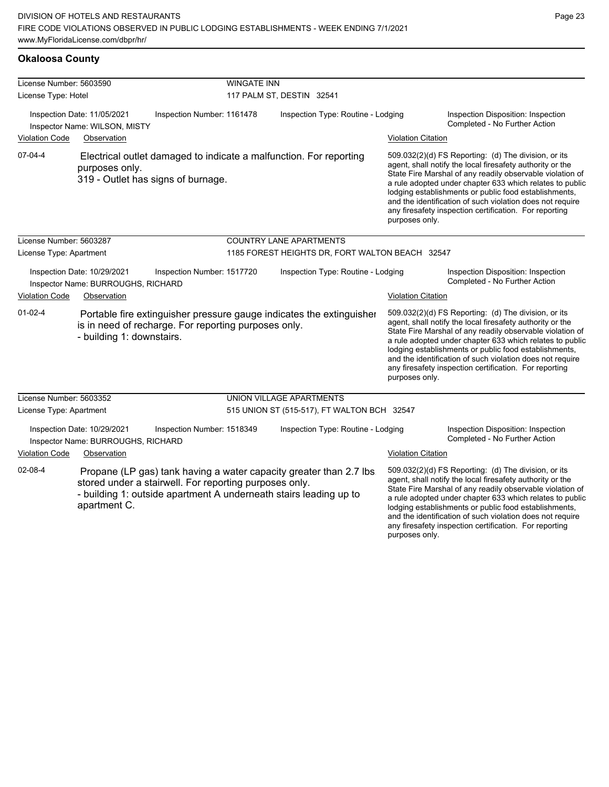| <b>Okaloosa County</b> |  |
|------------------------|--|
|------------------------|--|

| License Number: 5603590 |                                                                   |                                                                                                                                                                                                   | <b>WINGATE INN</b>                              |                                    |                           |                                                                                                                                                                                                                                                                                                                                                                                                                            |
|-------------------------|-------------------------------------------------------------------|---------------------------------------------------------------------------------------------------------------------------------------------------------------------------------------------------|-------------------------------------------------|------------------------------------|---------------------------|----------------------------------------------------------------------------------------------------------------------------------------------------------------------------------------------------------------------------------------------------------------------------------------------------------------------------------------------------------------------------------------------------------------------------|
| License Type: Hotel     |                                                                   |                                                                                                                                                                                                   | 117 PALM ST, DESTIN 32541                       |                                    |                           |                                                                                                                                                                                                                                                                                                                                                                                                                            |
|                         | Inspection Date: 11/05/2021<br>Inspector Name: WILSON, MISTY      | Inspection Number: 1161478                                                                                                                                                                        |                                                 | Inspection Type: Routine - Lodging |                           | Inspection Disposition: Inspection<br>Completed - No Further Action                                                                                                                                                                                                                                                                                                                                                        |
| <b>Violation Code</b>   | Observation                                                       |                                                                                                                                                                                                   |                                                 |                                    | <b>Violation Citation</b> |                                                                                                                                                                                                                                                                                                                                                                                                                            |
| $07-04-4$               | purposes only.                                                    | Electrical outlet damaged to indicate a malfunction. For reporting<br>319 - Outlet has signs of burnage.                                                                                          |                                                 |                                    | purposes only.            | 509.032(2)(d) FS Reporting: (d) The division, or its<br>agent, shall notify the local firesafety authority or the<br>State Fire Marshal of any readily observable violation of<br>a rule adopted under chapter 633 which relates to public<br>lodging establishments or public food establishments,<br>and the identification of such violation does not require<br>any firesafety inspection certification. For reporting |
| License Number: 5603287 |                                                                   |                                                                                                                                                                                                   | <b>COUNTRY LANE APARTMENTS</b>                  |                                    |                           |                                                                                                                                                                                                                                                                                                                                                                                                                            |
| License Type: Apartment |                                                                   |                                                                                                                                                                                                   | 1185 FOREST HEIGHTS DR, FORT WALTON BEACH 32547 |                                    |                           |                                                                                                                                                                                                                                                                                                                                                                                                                            |
|                         | Inspection Date: 10/29/2021<br>Inspector Name: BURROUGHS, RICHARD | Inspection Number: 1517720                                                                                                                                                                        |                                                 | Inspection Type: Routine - Lodging |                           | Inspection Disposition: Inspection<br>Completed - No Further Action                                                                                                                                                                                                                                                                                                                                                        |
| <b>Violation Code</b>   | Observation                                                       |                                                                                                                                                                                                   |                                                 |                                    | <b>Violation Citation</b> |                                                                                                                                                                                                                                                                                                                                                                                                                            |
| $01 - 02 - 4$           | - building 1: downstairs.                                         | Portable fire extinguisher pressure gauge indicates the extinguisher<br>is in need of recharge. For reporting purposes only.                                                                      |                                                 |                                    | purposes only.            | 509.032(2)(d) FS Reporting: (d) The division, or its<br>agent, shall notify the local firesafety authority or the<br>State Fire Marshal of any readily observable violation of<br>a rule adopted under chapter 633 which relates to public<br>lodging establishments or public food establishments,<br>and the identification of such violation does not require<br>any firesafety inspection certification. For reporting |
| License Number: 5603352 |                                                                   |                                                                                                                                                                                                   | UNION VILLAGE APARTMENTS                        |                                    |                           |                                                                                                                                                                                                                                                                                                                                                                                                                            |
| License Type: Apartment |                                                                   |                                                                                                                                                                                                   | 515 UNION ST (515-517), FT WALTON BCH 32547     |                                    |                           |                                                                                                                                                                                                                                                                                                                                                                                                                            |
|                         | Inspection Date: 10/29/2021<br>Inspector Name: BURROUGHS, RICHARD | Inspection Number: 1518349                                                                                                                                                                        |                                                 | Inspection Type: Routine - Lodging |                           | Inspection Disposition: Inspection<br>Completed - No Further Action                                                                                                                                                                                                                                                                                                                                                        |
| <b>Violation Code</b>   | Observation                                                       |                                                                                                                                                                                                   |                                                 |                                    | <b>Violation Citation</b> |                                                                                                                                                                                                                                                                                                                                                                                                                            |
| 02-08-4                 | apartment C.                                                      | Propane (LP gas) tank having a water capacity greater than 2.7 lbs<br>stored under a stairwell. For reporting purposes only.<br>- building 1: outside apartment A underneath stairs leading up to |                                                 |                                    | purposes only.            | 509.032(2)(d) FS Reporting: (d) The division, or its<br>agent, shall notify the local firesafety authority or the<br>State Fire Marshal of any readily observable violation of<br>a rule adopted under chapter 633 which relates to public<br>lodging establishments or public food establishments,<br>and the identification of such violation does not require<br>any firesafety inspection certification. For reporting |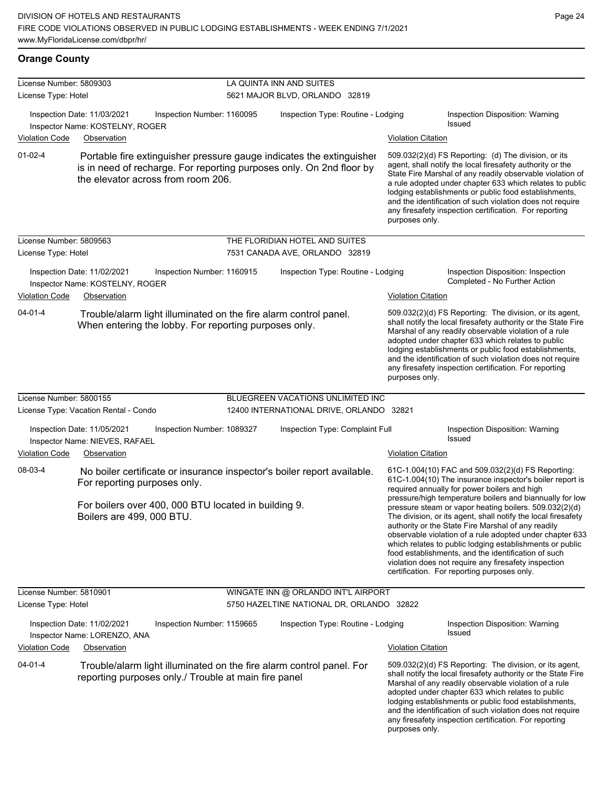# **Orange County**

| License Number: 5809303<br>License Type: Hotel |                                                                                                                                                                                                             | LA QUINTA INN AND SUITES<br>5621 MAJOR BLVD, ORLANDO 32819       |                           |                                                                                                                                                                                                                                                                                                                                                                                                                                                                                                                                                                                                                                                                                                  |  |  |
|------------------------------------------------|-------------------------------------------------------------------------------------------------------------------------------------------------------------------------------------------------------------|------------------------------------------------------------------|---------------------------|--------------------------------------------------------------------------------------------------------------------------------------------------------------------------------------------------------------------------------------------------------------------------------------------------------------------------------------------------------------------------------------------------------------------------------------------------------------------------------------------------------------------------------------------------------------------------------------------------------------------------------------------------------------------------------------------------|--|--|
| <b>Violation Code</b>                          | Inspection Date: 11/03/2021<br>Inspection Number: 1160095<br>Inspector Name: KOSTELNY, ROGER<br>Observation                                                                                                 | Inspection Type: Routine - Lodging<br><b>Violation Citation</b>  |                           | Inspection Disposition: Warning<br><b>Issued</b>                                                                                                                                                                                                                                                                                                                                                                                                                                                                                                                                                                                                                                                 |  |  |
| $01 - 02 - 4$                                  | Portable fire extinguisher pressure gauge indicates the extinguisher<br>is in need of recharge. For reporting purposes only. On 2nd floor by<br>the elevator across from room 206.                          |                                                                  | purposes only.            | 509.032(2)(d) FS Reporting: (d) The division, or its<br>agent, shall notify the local firesafety authority or the<br>State Fire Marshal of any readily observable violation of<br>a rule adopted under chapter 633 which relates to public<br>lodging establishments or public food establishments,<br>and the identification of such violation does not require<br>any firesafety inspection certification. For reporting                                                                                                                                                                                                                                                                       |  |  |
| License Number: 5809563<br>License Type: Hotel |                                                                                                                                                                                                             | THE FLORIDIAN HOTEL AND SUITES<br>7531 CANADA AVE, ORLANDO 32819 |                           |                                                                                                                                                                                                                                                                                                                                                                                                                                                                                                                                                                                                                                                                                                  |  |  |
| <b>Violation Code</b>                          | Inspection Date: 11/02/2021<br>Inspection Number: 1160915<br>Inspector Name: KOSTELNY, ROGER<br>Observation                                                                                                 | Inspection Type: Routine - Lodging                               | <b>Violation Citation</b> | Inspection Disposition: Inspection<br>Completed - No Further Action                                                                                                                                                                                                                                                                                                                                                                                                                                                                                                                                                                                                                              |  |  |
| $04 - 01 - 4$                                  | Trouble/alarm light illuminated on the fire alarm control panel.<br>When entering the lobby. For reporting purposes only.                                                                                   |                                                                  | purposes only.            | 509.032(2)(d) FS Reporting: The division, or its agent,<br>shall notify the local firesafety authority or the State Fire<br>Marshal of any readily observable violation of a rule<br>adopted under chapter 633 which relates to public<br>lodging establishments or public food establishments,<br>and the identification of such violation does not require<br>any firesafety inspection certification. For reporting                                                                                                                                                                                                                                                                           |  |  |
| License Number: 5800155                        |                                                                                                                                                                                                             | BLUEGREEN VACATIONS UNLIMITED INC                                |                           |                                                                                                                                                                                                                                                                                                                                                                                                                                                                                                                                                                                                                                                                                                  |  |  |
|                                                | License Type: Vacation Rental - Condo                                                                                                                                                                       | 12400 INTERNATIONAL DRIVE, ORLANDO 32821                         |                           |                                                                                                                                                                                                                                                                                                                                                                                                                                                                                                                                                                                                                                                                                                  |  |  |
|                                                | Inspection Date: 11/05/2021<br>Inspection Number: 1089327<br>Inspector Name: NIEVES, RAFAEL                                                                                                                 | Inspection Type: Complaint Full                                  |                           | Inspection Disposition: Warning<br><b>Issued</b>                                                                                                                                                                                                                                                                                                                                                                                                                                                                                                                                                                                                                                                 |  |  |
| <b>Violation Code</b><br>08-03-4               | Observation<br>No boiler certificate or insurance inspector's boiler report available.<br>For reporting purposes only.<br>For boilers over 400, 000 BTU located in building 9.<br>Boilers are 499, 000 BTU. |                                                                  | <b>Violation Citation</b> | 61C-1.004(10) FAC and 509.032(2)(d) FS Reporting:<br>61C-1.004(10) The insurance inspector's boiler report is<br>required annually for power boilers and high<br>pressure/high temperature boilers and biannually for low<br>pressure steam or vapor heating boilers. 509.032(2)(d)<br>The division, or its agent, shall notify the local firesafety<br>authority or the State Fire Marshal of any readily<br>observable violation of a rule adopted under chapter 633<br>which relates to public lodging establishments or public<br>food establishments, and the identification of such<br>violation does not require any firesafety inspection<br>certification. For reporting purposes only. |  |  |
| License Number: 5810901                        |                                                                                                                                                                                                             | WINGATE INN @ ORLANDO INT'L AIRPORT                              |                           |                                                                                                                                                                                                                                                                                                                                                                                                                                                                                                                                                                                                                                                                                                  |  |  |
| License Type: Hotel                            |                                                                                                                                                                                                             | 5750 HAZELTINE NATIONAL DR, ORLANDO 32822                        |                           |                                                                                                                                                                                                                                                                                                                                                                                                                                                                                                                                                                                                                                                                                                  |  |  |
|                                                | Inspection Date: 11/02/2021<br>Inspection Number: 1159665<br>Inspector Name: LORENZO, ANA                                                                                                                   | Inspection Type: Routine - Lodging                               |                           | Inspection Disposition: Warning<br>Issued                                                                                                                                                                                                                                                                                                                                                                                                                                                                                                                                                                                                                                                        |  |  |
| <b>Violation Code</b>                          | Observation                                                                                                                                                                                                 |                                                                  | <b>Violation Citation</b> |                                                                                                                                                                                                                                                                                                                                                                                                                                                                                                                                                                                                                                                                                                  |  |  |
| 04-01-4                                        | Trouble/alarm light illuminated on the fire alarm control panel. For<br>reporting purposes only./ Trouble at main fire panel                                                                                |                                                                  | purposes only.            | 509.032(2)(d) FS Reporting: The division, or its agent,<br>shall notify the local firesafety authority or the State Fire<br>Marshal of any readily observable violation of a rule<br>adopted under chapter 633 which relates to public<br>lodging establishments or public food establishments,<br>and the identification of such violation does not require<br>any firesafety inspection certification. For reporting                                                                                                                                                                                                                                                                           |  |  |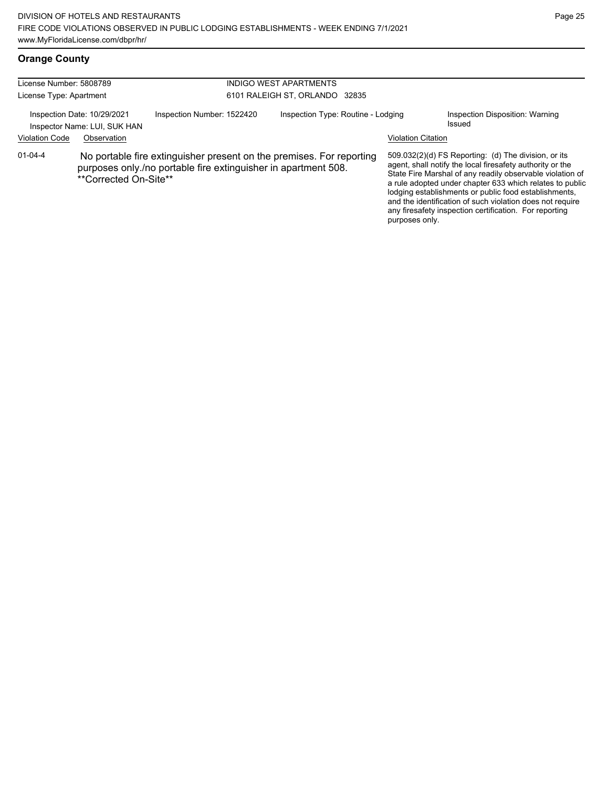# **Orange County**

| License Number: 5808789<br>License Type: Apartment          |                       |                                                                                                                                        | <b>INDIGO WEST APARTMENTS</b><br>6101 RALEIGH ST, ORLANDO 32835 |                                                                                                                                                                                                                                                                                                                                                                                                                              |                                           |  |
|-------------------------------------------------------------|-----------------------|----------------------------------------------------------------------------------------------------------------------------------------|-----------------------------------------------------------------|------------------------------------------------------------------------------------------------------------------------------------------------------------------------------------------------------------------------------------------------------------------------------------------------------------------------------------------------------------------------------------------------------------------------------|-------------------------------------------|--|
| Inspection Date: 10/29/2021<br>Inspector Name: LUI, SUK HAN |                       | Inspection Number: 1522420                                                                                                             | Inspection Type: Routine - Lodging                              |                                                                                                                                                                                                                                                                                                                                                                                                                              | Inspection Disposition: Warning<br>Issued |  |
| <b>Violation Code</b>                                       | Observation           |                                                                                                                                        |                                                                 | <b>Violation Citation</b>                                                                                                                                                                                                                                                                                                                                                                                                    |                                           |  |
| $01 - 04 - 4$                                               | **Corrected On-Site** | No portable fire extinguisher present on the premises. For reporting<br>purposes only./no portable fire extinguisher in apartment 508. | purposes only.                                                  | $509.032(2)(d)$ FS Reporting: (d) The division, or its<br>agent, shall notify the local firesafety authority or the<br>State Fire Marshal of any readily observable violation of<br>a rule adopted under chapter 633 which relates to public<br>lodging establishments or public food establishments,<br>and the identification of such violation does not require<br>any firesafety inspection certification. For reporting |                                           |  |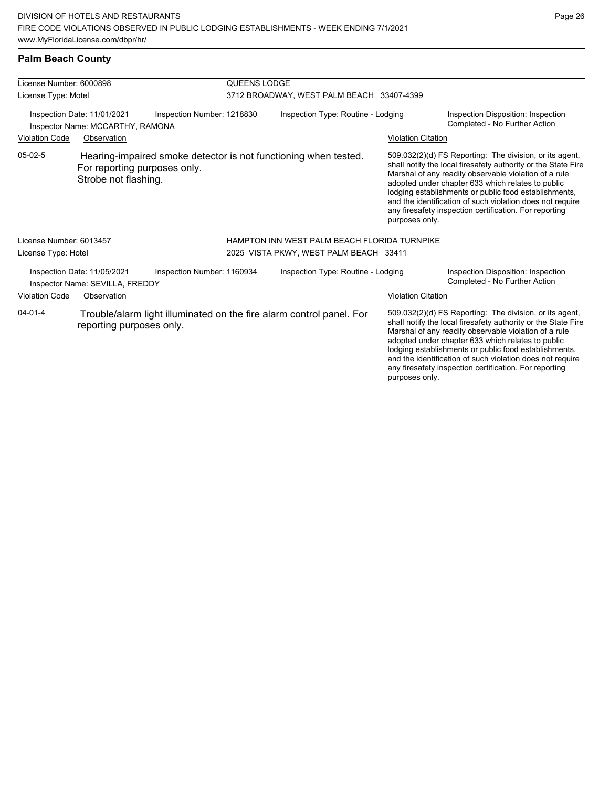#### **Palm Beach County**

| License Number: 6000898                                                                                           |                                                                |                            | QUEENS LODGE |                                                                 |                           |                                                                                                                                                                                                                                                                                                                                                                                                                        |
|-------------------------------------------------------------------------------------------------------------------|----------------------------------------------------------------|----------------------------|--------------|-----------------------------------------------------------------|---------------------------|------------------------------------------------------------------------------------------------------------------------------------------------------------------------------------------------------------------------------------------------------------------------------------------------------------------------------------------------------------------------------------------------------------------------|
| License Type: Motel                                                                                               |                                                                |                            |              | 3712 BROADWAY, WEST PALM BEACH 33407-4399                       |                           |                                                                                                                                                                                                                                                                                                                                                                                                                        |
| Inspection Date: 11/01/2021<br>Inspection Number: 1218830<br>Inspector Name: MCCARTHY, RAMONA                     |                                                                |                            |              | Inspection Type: Routine - Lodging                              |                           | Inspection Disposition: Inspection<br>Completed - No Further Action                                                                                                                                                                                                                                                                                                                                                    |
| <b>Violation Code</b>                                                                                             | Observation                                                    |                            |              |                                                                 | <b>Violation Citation</b> |                                                                                                                                                                                                                                                                                                                                                                                                                        |
| $05-02-5$                                                                                                         | For reporting purposes only.<br>Strobe not flashing.           |                            |              | Hearing-impaired smoke detector is not functioning when tested. | purposes only.            | 509.032(2)(d) FS Reporting: The division, or its agent,<br>shall notify the local firesafety authority or the State Fire<br>Marshal of any readily observable violation of a rule<br>adopted under chapter 633 which relates to public<br>lodging establishments or public food establishments,<br>and the identification of such violation does not require<br>any firesafety inspection certification. For reporting |
| License Number: 6013457                                                                                           |                                                                |                            |              | HAMPTON INN WEST PALM BEACH FLORIDA TURNPIKE                    |                           |                                                                                                                                                                                                                                                                                                                                                                                                                        |
| License Type: Hotel                                                                                               |                                                                |                            |              | 2025 VISTA PKWY, WEST PALM BEACH 33411                          |                           |                                                                                                                                                                                                                                                                                                                                                                                                                        |
|                                                                                                                   | Inspection Date: 11/05/2021<br>Inspector Name: SEVILLA, FREDDY | Inspection Number: 1160934 |              | Inspection Type: Routine - Lodging                              |                           | Inspection Disposition: Inspection<br>Completed - No Further Action                                                                                                                                                                                                                                                                                                                                                    |
| <b>Violation Code</b>                                                                                             | Observation                                                    |                            |              |                                                                 | <b>Violation Citation</b> |                                                                                                                                                                                                                                                                                                                                                                                                                        |
| $04 - 01 - 4$<br>Trouble/alarm light illuminated on the fire alarm control panel. For<br>reporting purposes only. |                                                                |                            |              |                                                                 | purposes only.            | 509.032(2)(d) FS Reporting: The division, or its agent,<br>shall notify the local firesafety authority or the State Fire<br>Marshal of any readily observable violation of a rule<br>adopted under chapter 633 which relates to public<br>lodging establishments or public food establishments,<br>and the identification of such violation does not require<br>any firesafety inspection certification. For reporting |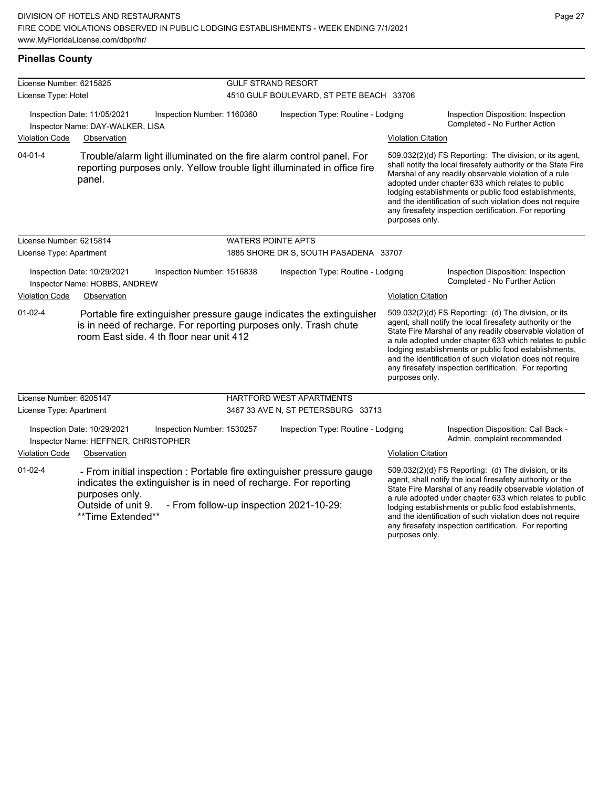#### **Pinellas County**

| License Number: 6215825 |                                                                     |                                                                  | <b>GULF STRAND RESORT</b>                |                                                                                                                                                  |                           |                                                                                                                                                                                                                                                                                                                                                                                                                            |  |  |
|-------------------------|---------------------------------------------------------------------|------------------------------------------------------------------|------------------------------------------|--------------------------------------------------------------------------------------------------------------------------------------------------|---------------------------|----------------------------------------------------------------------------------------------------------------------------------------------------------------------------------------------------------------------------------------------------------------------------------------------------------------------------------------------------------------------------------------------------------------------------|--|--|
| License Type: Hotel     |                                                                     |                                                                  | 4510 GULF BOULEVARD, ST PETE BEACH 33706 |                                                                                                                                                  |                           |                                                                                                                                                                                                                                                                                                                                                                                                                            |  |  |
|                         | Inspection Date: 11/05/2021<br>Inspector Name: DAY-WALKER, LISA     | Inspection Number: 1160360                                       |                                          | Inspection Type: Routine - Lodging                                                                                                               |                           | Inspection Disposition: Inspection<br>Completed - No Further Action                                                                                                                                                                                                                                                                                                                                                        |  |  |
| <b>Violation Code</b>   | Observation                                                         |                                                                  |                                          |                                                                                                                                                  | <b>Violation Citation</b> |                                                                                                                                                                                                                                                                                                                                                                                                                            |  |  |
| $04 - 01 - 4$           | panel.                                                              |                                                                  |                                          | Trouble/alarm light illuminated on the fire alarm control panel. For<br>reporting purposes only. Yellow trouble light illuminated in office fire | purposes only.            | 509.032(2)(d) FS Reporting: The division, or its agent,<br>shall notify the local firesafety authority or the State Fire<br>Marshal of any readily observable violation of a rule<br>adopted under chapter 633 which relates to public<br>lodging establishments or public food establishments,<br>and the identification of such violation does not require<br>any firesafety inspection certification. For reporting     |  |  |
| License Number: 6215814 |                                                                     |                                                                  | <b>WATERS POINTE APTS</b>                |                                                                                                                                                  |                           |                                                                                                                                                                                                                                                                                                                                                                                                                            |  |  |
| License Type: Apartment |                                                                     |                                                                  |                                          | 1885 SHORE DR S, SOUTH PASADENA 33707                                                                                                            |                           |                                                                                                                                                                                                                                                                                                                                                                                                                            |  |  |
|                         | Inspection Date: 10/29/2021<br>Inspector Name: HOBBS, ANDREW        | Inspection Number: 1516838                                       |                                          | Inspection Type: Routine - Lodging                                                                                                               |                           | Inspection Disposition: Inspection<br>Completed - No Further Action                                                                                                                                                                                                                                                                                                                                                        |  |  |
| <b>Violation Code</b>   | Observation                                                         |                                                                  |                                          |                                                                                                                                                  | <b>Violation Citation</b> |                                                                                                                                                                                                                                                                                                                                                                                                                            |  |  |
| $01 - 02 - 4$           |                                                                     | room East side, 4 th floor near unit 412                         |                                          | Portable fire extinguisher pressure gauge indicates the extinguisher<br>is in need of recharge. For reporting purposes only. Trash chute         | purposes only.            | 509.032(2)(d) FS Reporting: (d) The division, or its<br>agent, shall notify the local firesafety authority or the<br>State Fire Marshal of any readily observable violation of<br>a rule adopted under chapter 633 which relates to public<br>lodging establishments or public food establishments,<br>and the identification of such violation does not require<br>any firesafety inspection certification. For reporting |  |  |
| License Number: 6205147 |                                                                     |                                                                  |                                          | HARTFORD WEST APARTMENTS                                                                                                                         |                           |                                                                                                                                                                                                                                                                                                                                                                                                                            |  |  |
| License Type: Apartment |                                                                     |                                                                  |                                          | 3467 33 AVE N, ST PETERSBURG 33713                                                                                                               |                           |                                                                                                                                                                                                                                                                                                                                                                                                                            |  |  |
|                         | Inspection Date: 10/29/2021<br>Inspector Name: HEFFNER, CHRISTOPHER | Inspection Number: 1530257                                       |                                          | Inspection Type: Routine - Lodging                                                                                                               |                           | Inspection Disposition: Call Back -<br>Admin. complaint recommended                                                                                                                                                                                                                                                                                                                                                        |  |  |
| <b>Violation Code</b>   | Observation                                                         |                                                                  |                                          |                                                                                                                                                  | <b>Violation Citation</b> |                                                                                                                                                                                                                                                                                                                                                                                                                            |  |  |
| $01 - 02 - 4$           | purposes only.<br>Outside of unit 9.<br>**Time Extended**           | indicates the extinguisher is in need of recharge. For reporting |                                          | - From initial inspection : Portable fire extinguisher pressure gauge<br>- From follow-up inspection 2021-10-29:                                 |                           | 509.032(2)(d) FS Reporting: (d) The division, or its<br>agent, shall notify the local firesafety authority or the<br>State Fire Marshal of any readily observable violation of<br>a rule adopted under chapter 633 which relates to public<br>lodging establishments or public food establishments,<br>and the identification of such violation does not require<br>any firesafety inspection certification. For reporting |  |  |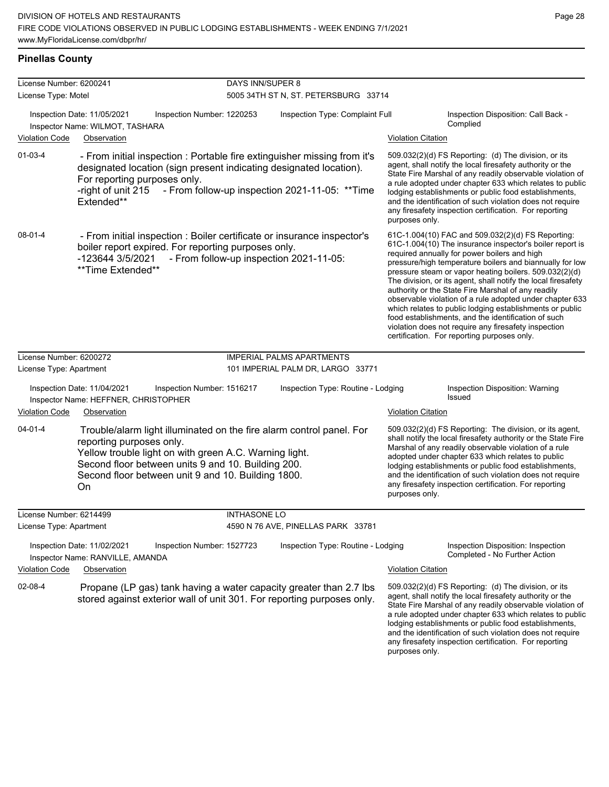any firesafety inspection certification. For reporting

purposes only.

#### **Pinellas County**

| License Number: 6200241 |                                                                                                                                                                                                                                                                              | <b>DAYS INN/SUPER 8</b> |                                                |                                                                                                                                                                                                                                                                                                                                                                                                                                                                                                                                                                                                                                                                                                  |                                                                                                                                                                                                                                                                                                                                                                                                                            |  |  |
|-------------------------|------------------------------------------------------------------------------------------------------------------------------------------------------------------------------------------------------------------------------------------------------------------------------|-------------------------|------------------------------------------------|--------------------------------------------------------------------------------------------------------------------------------------------------------------------------------------------------------------------------------------------------------------------------------------------------------------------------------------------------------------------------------------------------------------------------------------------------------------------------------------------------------------------------------------------------------------------------------------------------------------------------------------------------------------------------------------------------|----------------------------------------------------------------------------------------------------------------------------------------------------------------------------------------------------------------------------------------------------------------------------------------------------------------------------------------------------------------------------------------------------------------------------|--|--|
| License Type: Motel     |                                                                                                                                                                                                                                                                              |                         | 5005 34TH ST N, ST. PETERSBURG 33714           |                                                                                                                                                                                                                                                                                                                                                                                                                                                                                                                                                                                                                                                                                                  |                                                                                                                                                                                                                                                                                                                                                                                                                            |  |  |
|                         | Inspection Date: 11/05/2021<br>Inspection Number: 1220253<br>Inspector Name: WILMOT, TASHARA                                                                                                                                                                                 |                         | Inspection Type: Complaint Full                |                                                                                                                                                                                                                                                                                                                                                                                                                                                                                                                                                                                                                                                                                                  | Inspection Disposition: Call Back -<br>Complied                                                                                                                                                                                                                                                                                                                                                                            |  |  |
| <b>Violation Code</b>   | Observation                                                                                                                                                                                                                                                                  |                         |                                                | <b>Violation Citation</b>                                                                                                                                                                                                                                                                                                                                                                                                                                                                                                                                                                                                                                                                        |                                                                                                                                                                                                                                                                                                                                                                                                                            |  |  |
| $01 - 03 - 4$           | - From initial inspection : Portable fire extinguisher missing from it's<br>designated location (sign present indicating designated location).<br>For reporting purposes only.<br>-right of unit 215<br>Extended**                                                           |                         | - From follow-up inspection 2021-11-05: **Time | purposes only.                                                                                                                                                                                                                                                                                                                                                                                                                                                                                                                                                                                                                                                                                   | 509.032(2)(d) FS Reporting: (d) The division, or its<br>agent, shall notify the local firesafety authority or the<br>State Fire Marshal of any readily observable violation of<br>a rule adopted under chapter 633 which relates to public<br>lodging establishments or public food establishments,<br>and the identification of such violation does not require<br>any firesafety inspection certification. For reporting |  |  |
| $08 - 01 - 4$           | - From initial inspection : Boiler certificate or insurance inspector's<br>boiler report expired. For reporting purposes only.<br>-123644 3/5/2021<br>**Time Extended**                                                                                                      |                         | - From follow-up inspection 2021-11-05:        | 61C-1.004(10) FAC and 509.032(2)(d) FS Reporting:<br>61C-1.004(10) The insurance inspector's boiler report is<br>required annually for power boilers and high<br>pressure/high temperature boilers and biannually for low<br>pressure steam or vapor heating boilers. 509.032(2)(d)<br>The division, or its agent, shall notify the local firesafety<br>authority or the State Fire Marshal of any readily<br>observable violation of a rule adopted under chapter 633<br>which relates to public lodging establishments or public<br>food establishments, and the identification of such<br>violation does not require any firesafety inspection<br>certification. For reporting purposes only. |                                                                                                                                                                                                                                                                                                                                                                                                                            |  |  |
| License Number: 6200272 |                                                                                                                                                                                                                                                                              |                         | <b>IMPERIAL PALMS APARTMENTS</b>               |                                                                                                                                                                                                                                                                                                                                                                                                                                                                                                                                                                                                                                                                                                  |                                                                                                                                                                                                                                                                                                                                                                                                                            |  |  |
| License Type: Apartment |                                                                                                                                                                                                                                                                              |                         | 101 IMPERIAL PALM DR, LARGO 33771              |                                                                                                                                                                                                                                                                                                                                                                                                                                                                                                                                                                                                                                                                                                  |                                                                                                                                                                                                                                                                                                                                                                                                                            |  |  |
|                         | Inspection Date: 11/04/2021<br>Inspection Number: 1516217<br>Inspector Name: HEFFNER, CHRISTOPHER                                                                                                                                                                            |                         | Inspection Type: Routine - Lodging             |                                                                                                                                                                                                                                                                                                                                                                                                                                                                                                                                                                                                                                                                                                  | Inspection Disposition: Warning<br><b>Issued</b>                                                                                                                                                                                                                                                                                                                                                                           |  |  |
| <b>Violation Code</b>   | Observation                                                                                                                                                                                                                                                                  |                         |                                                | <b>Violation Citation</b>                                                                                                                                                                                                                                                                                                                                                                                                                                                                                                                                                                                                                                                                        |                                                                                                                                                                                                                                                                                                                                                                                                                            |  |  |
| 04-01-4                 | Trouble/alarm light illuminated on the fire alarm control panel. For<br>reporting purposes only.<br>Yellow trouble light on with green A.C. Warning light.<br>Second floor between units 9 and 10. Building 200.<br>Second floor between unit 9 and 10. Building 1800.<br>On |                         |                                                | purposes only.                                                                                                                                                                                                                                                                                                                                                                                                                                                                                                                                                                                                                                                                                   | 509.032(2)(d) FS Reporting: The division, or its agent,<br>shall notify the local firesafety authority or the State Fire<br>Marshal of any readily observable violation of a rule<br>adopted under chapter 633 which relates to public<br>lodging establishments or public food establishments,<br>and the identification of such violation does not require<br>any firesafety inspection certification. For reporting     |  |  |
| License Number: 6214499 |                                                                                                                                                                                                                                                                              | <b>INTHASONE LO</b>     |                                                |                                                                                                                                                                                                                                                                                                                                                                                                                                                                                                                                                                                                                                                                                                  |                                                                                                                                                                                                                                                                                                                                                                                                                            |  |  |
| License Type: Apartment |                                                                                                                                                                                                                                                                              |                         | 4590 N 76 AVE, PINELLAS PARK 33781             |                                                                                                                                                                                                                                                                                                                                                                                                                                                                                                                                                                                                                                                                                                  |                                                                                                                                                                                                                                                                                                                                                                                                                            |  |  |
|                         | Inspection Date: 11/02/2021<br>Inspection Number: 1527723<br>Inspector Name: RANVILLE, AMANDA                                                                                                                                                                                |                         | Inspection Type: Routine - Lodging             |                                                                                                                                                                                                                                                                                                                                                                                                                                                                                                                                                                                                                                                                                                  | Inspection Disposition: Inspection<br>Completed - No Further Action                                                                                                                                                                                                                                                                                                                                                        |  |  |
| <b>Violation Code</b>   | Observation                                                                                                                                                                                                                                                                  |                         |                                                | <b>Violation Citation</b>                                                                                                                                                                                                                                                                                                                                                                                                                                                                                                                                                                                                                                                                        |                                                                                                                                                                                                                                                                                                                                                                                                                            |  |  |
| 02-08-4                 | Propane (LP gas) tank having a water capacity greater than 2.7 lbs<br>stored against exterior wall of unit 301. For reporting purposes only.                                                                                                                                 |                         |                                                |                                                                                                                                                                                                                                                                                                                                                                                                                                                                                                                                                                                                                                                                                                  | 509.032(2)(d) FS Reporting: (d) The division, or its<br>agent, shall notify the local firesafety authority or the<br>State Fire Marshal of any readily observable violation of<br>a rule adopted under chapter 633 which relates to public<br>lodging establishments or public food establishments,<br>and the identification of such violation does not require                                                           |  |  |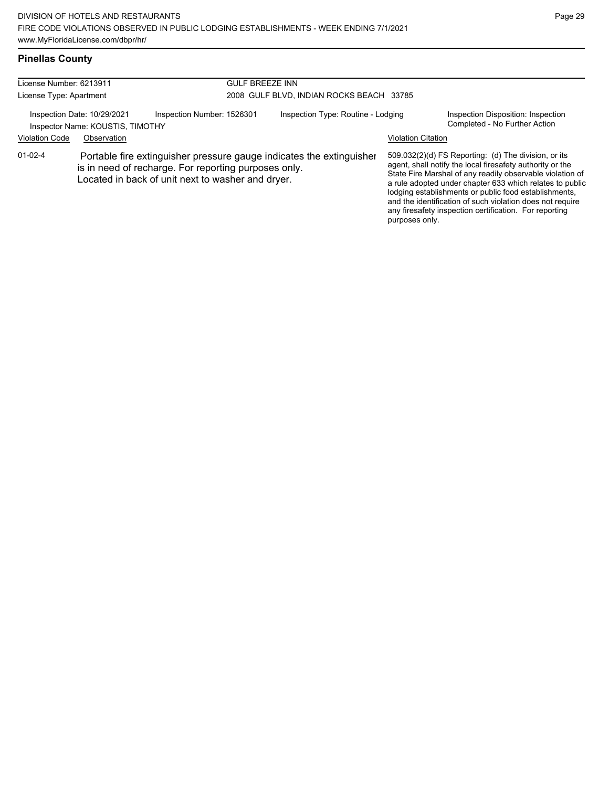#### **Pinellas County**

| License Number: 6213911<br>License Type: Apartment                                                                                                                                                 |             |                            | <b>GULF BREEZE INN</b><br>2008 GULF BLVD, INDIAN ROCKS BEACH 33785 |                           |                                                                                                                                                                                                                                                                                                                                                                                                                            |  |  |
|----------------------------------------------------------------------------------------------------------------------------------------------------------------------------------------------------|-------------|----------------------------|--------------------------------------------------------------------|---------------------------|----------------------------------------------------------------------------------------------------------------------------------------------------------------------------------------------------------------------------------------------------------------------------------------------------------------------------------------------------------------------------------------------------------------------------|--|--|
| Inspection Date: 10/29/2021<br>Inspector Name: KOUSTIS, TIMOTHY                                                                                                                                    |             | Inspection Number: 1526301 | Inspection Type: Routine - Lodging                                 |                           | Inspection Disposition: Inspection<br>Completed - No Further Action                                                                                                                                                                                                                                                                                                                                                        |  |  |
| <b>Violation Code</b>                                                                                                                                                                              | Observation |                            |                                                                    | <b>Violation Citation</b> |                                                                                                                                                                                                                                                                                                                                                                                                                            |  |  |
| $01 - 02 - 4$<br>Portable fire extinguisher pressure gauge indicates the extinguisher<br>is in need of recharge. For reporting purposes only.<br>Located in back of unit next to washer and dryer. |             |                            |                                                                    | purposes only.            | 509.032(2)(d) FS Reporting: (d) The division, or its<br>agent, shall notify the local firesafety authority or the<br>State Fire Marshal of any readily observable violation of<br>a rule adopted under chapter 633 which relates to public<br>lodging establishments or public food establishments,<br>and the identification of such violation does not require<br>any firesafety inspection certification. For reporting |  |  |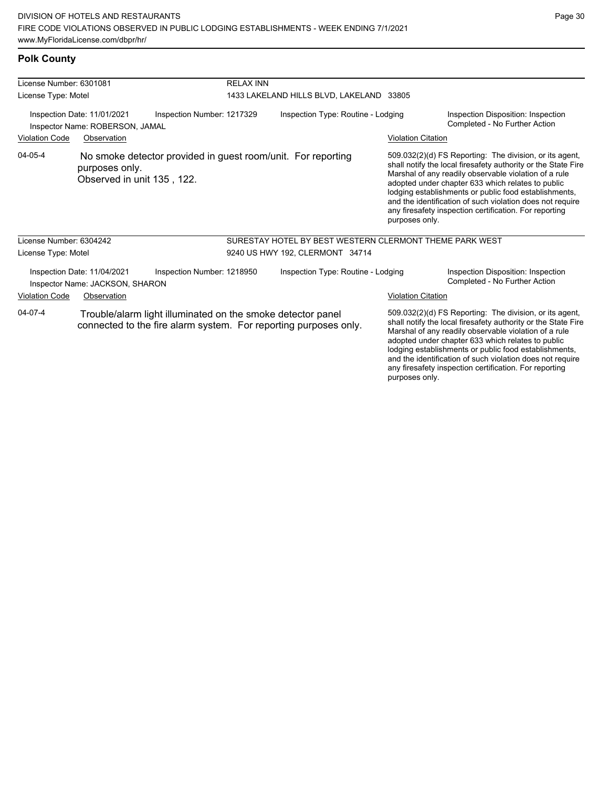any firesafety inspection certification. For reporting

purposes only.

### **Polk County**

| License Number: 6301081                                                                                                                    |                                                                |                                                              | <b>RELAX INN</b>                         |                                                         |                                                                                                                                                                                                                                                                                                                                                              |                                                                                                                                                                                                                                                                                                                                                                                                                        |  |
|--------------------------------------------------------------------------------------------------------------------------------------------|----------------------------------------------------------------|--------------------------------------------------------------|------------------------------------------|---------------------------------------------------------|--------------------------------------------------------------------------------------------------------------------------------------------------------------------------------------------------------------------------------------------------------------------------------------------------------------------------------------------------------------|------------------------------------------------------------------------------------------------------------------------------------------------------------------------------------------------------------------------------------------------------------------------------------------------------------------------------------------------------------------------------------------------------------------------|--|
| License Type: Motel                                                                                                                        |                                                                |                                                              | 1433 LAKELAND HILLS BLVD, LAKELAND 33805 |                                                         |                                                                                                                                                                                                                                                                                                                                                              |                                                                                                                                                                                                                                                                                                                                                                                                                        |  |
| Inspection Date: 11/01/2021<br>Inspector Name: ROBERSON, JAMAL                                                                             |                                                                | Inspection Number: 1217329                                   |                                          | Inspection Type: Routine - Lodging                      |                                                                                                                                                                                                                                                                                                                                                              | Inspection Disposition: Inspection<br>Completed - No Further Action                                                                                                                                                                                                                                                                                                                                                    |  |
| <b>Violation Code</b>                                                                                                                      | Observation                                                    |                                                              |                                          |                                                         | <b>Violation Citation</b>                                                                                                                                                                                                                                                                                                                                    |                                                                                                                                                                                                                                                                                                                                                                                                                        |  |
| 04-05-4                                                                                                                                    | purposes only.<br>Observed in unit 135, 122.                   | No smoke detector provided in guest room/unit. For reporting |                                          |                                                         | purposes only.                                                                                                                                                                                                                                                                                                                                               | 509.032(2)(d) FS Reporting: The division, or its agent,<br>shall notify the local firesafety authority or the State Fire<br>Marshal of any readily observable violation of a rule<br>adopted under chapter 633 which relates to public<br>lodging establishments or public food establishments,<br>and the identification of such violation does not require<br>any firesafety inspection certification. For reporting |  |
| License Number: 6304242                                                                                                                    |                                                                |                                                              |                                          | SURESTAY HOTEL BY BEST WESTERN CLERMONT THEME PARK WEST |                                                                                                                                                                                                                                                                                                                                                              |                                                                                                                                                                                                                                                                                                                                                                                                                        |  |
| License Type: Motel                                                                                                                        |                                                                |                                                              | 9240 US HWY 192, CLERMONT 34714          |                                                         |                                                                                                                                                                                                                                                                                                                                                              |                                                                                                                                                                                                                                                                                                                                                                                                                        |  |
|                                                                                                                                            | Inspection Date: 11/04/2021<br>Inspector Name: JACKSON, SHARON | Inspection Number: 1218950                                   |                                          | Inspection Type: Routine - Lodging                      |                                                                                                                                                                                                                                                                                                                                                              | Inspection Disposition: Inspection<br>Completed - No Further Action                                                                                                                                                                                                                                                                                                                                                    |  |
| <b>Violation Code</b>                                                                                                                      | Observation                                                    |                                                              |                                          |                                                         | <b>Violation Citation</b>                                                                                                                                                                                                                                                                                                                                    |                                                                                                                                                                                                                                                                                                                                                                                                                        |  |
| 04-07-4<br>Trouble/alarm light illuminated on the smoke detector panel<br>connected to the fire alarm system. For reporting purposes only. |                                                                |                                                              |                                          |                                                         | 509.032(2)(d) FS Reporting: The division, or its agent,<br>shall notify the local firesafety authority or the State Fire<br>Marshal of any readily observable violation of a rule<br>adopted under chapter 633 which relates to public<br>lodging establishments or public food establishments,<br>and the identification of such violation does not require |                                                                                                                                                                                                                                                                                                                                                                                                                        |  |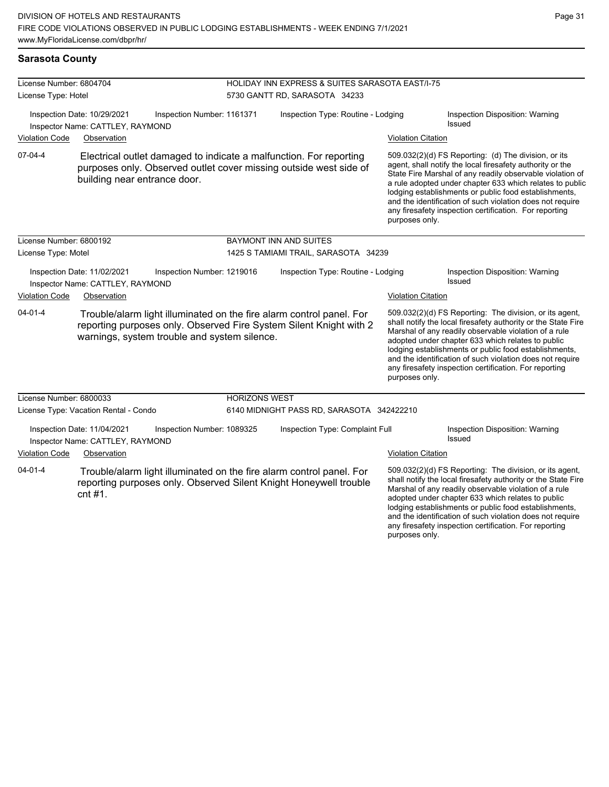#### **Sarasota County**

| License Number: 6804704<br>License Type: Hotel |                                                                 |                            | HOLIDAY INN EXPRESS & SUITES SARASOTA EAST/I-75<br>5730 GANTT RD, SARASOTA 34233 |                                                                                                                                            |                           |                                                                                                                                                                                                                                                                                                                                                                                                                            |  |
|------------------------------------------------|-----------------------------------------------------------------|----------------------------|----------------------------------------------------------------------------------|--------------------------------------------------------------------------------------------------------------------------------------------|---------------------------|----------------------------------------------------------------------------------------------------------------------------------------------------------------------------------------------------------------------------------------------------------------------------------------------------------------------------------------------------------------------------------------------------------------------------|--|
|                                                |                                                                 |                            |                                                                                  |                                                                                                                                            |                           |                                                                                                                                                                                                                                                                                                                                                                                                                            |  |
| <b>Violation Code</b>                          | Observation                                                     |                            |                                                                                  |                                                                                                                                            | <b>Violation Citation</b> |                                                                                                                                                                                                                                                                                                                                                                                                                            |  |
| $07-04-4$                                      | building near entrance door.                                    |                            |                                                                                  | Electrical outlet damaged to indicate a malfunction. For reporting<br>purposes only. Observed outlet cover missing outside west side of    | purposes only.            | 509.032(2)(d) FS Reporting: (d) The division, or its<br>agent, shall notify the local firesafety authority or the<br>State Fire Marshal of any readily observable violation of<br>a rule adopted under chapter 633 which relates to public<br>lodging establishments or public food establishments,<br>and the identification of such violation does not require<br>any firesafety inspection certification. For reporting |  |
| License Number: 6800192                        |                                                                 |                            |                                                                                  | <b>BAYMONT INN AND SUITES</b>                                                                                                              |                           |                                                                                                                                                                                                                                                                                                                                                                                                                            |  |
| License Type: Motel                            |                                                                 |                            |                                                                                  | 1425 S TAMIAMI TRAIL, SARASOTA 34239                                                                                                       |                           |                                                                                                                                                                                                                                                                                                                                                                                                                            |  |
|                                                | Inspection Date: 11/02/2021<br>Inspector Name: CATTLEY, RAYMOND | Inspection Number: 1219016 |                                                                                  | Inspection Type: Routine - Lodging                                                                                                         |                           | Inspection Disposition: Warning<br><b>Issued</b>                                                                                                                                                                                                                                                                                                                                                                           |  |
| <b>Violation Code</b>                          | Observation                                                     |                            |                                                                                  |                                                                                                                                            | <b>Violation Citation</b> |                                                                                                                                                                                                                                                                                                                                                                                                                            |  |
| $04 - 01 - 4$                                  | warnings, system trouble and system silence.                    |                            |                                                                                  | Trouble/alarm light illuminated on the fire alarm control panel. For<br>reporting purposes only. Observed Fire System Silent Knight with 2 | purposes only.            | 509.032(2)(d) FS Reporting: The division, or its agent,<br>shall notify the local firesafety authority or the State Fire<br>Marshal of any readily observable violation of a rule<br>adopted under chapter 633 which relates to public<br>lodging establishments or public food establishments,<br>and the identification of such violation does not require<br>any firesafety inspection certification. For reporting     |  |
| License Number: 6800033                        |                                                                 |                            | <b>HORIZONS WEST</b>                                                             |                                                                                                                                            |                           |                                                                                                                                                                                                                                                                                                                                                                                                                            |  |
|                                                | License Type: Vacation Rental - Condo                           |                            |                                                                                  | 6140 MIDNIGHT PASS RD, SARASOTA 342422210                                                                                                  |                           |                                                                                                                                                                                                                                                                                                                                                                                                                            |  |
|                                                | Inspection Date: 11/04/2021<br>Inspector Name: CATTLEY, RAYMOND | Inspection Number: 1089325 |                                                                                  | Inspection Type: Complaint Full                                                                                                            |                           | Inspection Disposition: Warning<br>Issued                                                                                                                                                                                                                                                                                                                                                                                  |  |
| <b>Violation Code</b>                          | Observation                                                     |                            |                                                                                  |                                                                                                                                            | <b>Violation Citation</b> |                                                                                                                                                                                                                                                                                                                                                                                                                            |  |
| $04 - 01 - 4$                                  | cnt #1.                                                         |                            |                                                                                  | Trouble/alarm light illuminated on the fire alarm control panel. For<br>reporting purposes only. Observed Silent Knight Honeywell trouble  |                           | 509.032(2)(d) FS Reporting: The division, or its agent,<br>shall notify the local firesafety authority or the State Fire<br>Marshal of any readily observable violation of a rule<br>adopted under chapter 633 which relates to public<br>lodging establishments or public food establishments,<br>and the identification of such violation does not require                                                               |  |

any firesafety inspection certification. For reporting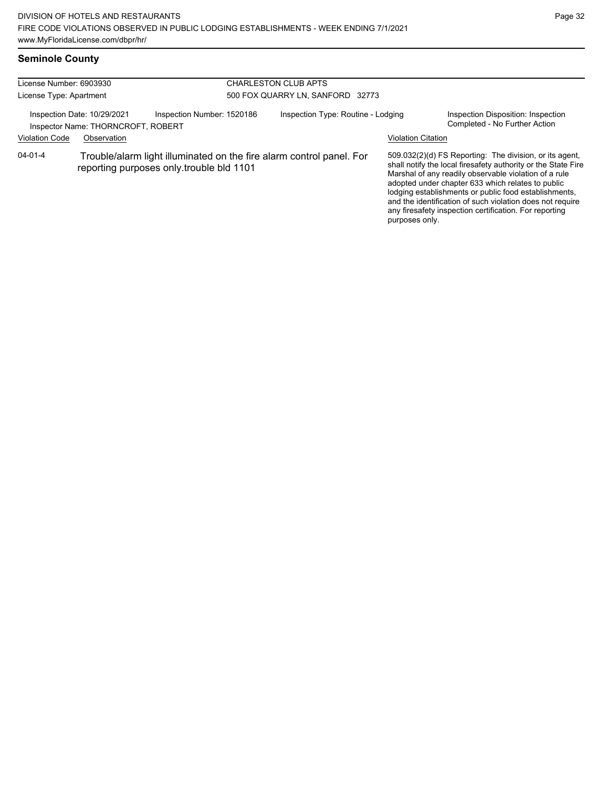# **Seminole County**

| License Number: 6903930 |                                                                   |                                                                                                                  | <b>CHARLESTON CLUB APTS</b>      |                                    |                           |                                                                                                                                                                                                                                                                                                                                                                                                                        |  |  |
|-------------------------|-------------------------------------------------------------------|------------------------------------------------------------------------------------------------------------------|----------------------------------|------------------------------------|---------------------------|------------------------------------------------------------------------------------------------------------------------------------------------------------------------------------------------------------------------------------------------------------------------------------------------------------------------------------------------------------------------------------------------------------------------|--|--|
| License Type: Apartment |                                                                   |                                                                                                                  | 500 FOX QUARRY LN, SANFORD 32773 |                                    |                           |                                                                                                                                                                                                                                                                                                                                                                                                                        |  |  |
|                         | Inspection Date: 10/29/2021<br>Inspector Name: THORNCROFT, ROBERT | Inspection Number: 1520186                                                                                       |                                  | Inspection Type: Routine - Lodging |                           | Inspection Disposition: Inspection<br>Completed - No Further Action                                                                                                                                                                                                                                                                                                                                                    |  |  |
| <b>Violation Code</b>   | Observation                                                       |                                                                                                                  |                                  |                                    | <b>Violation Citation</b> |                                                                                                                                                                                                                                                                                                                                                                                                                        |  |  |
| $04 - 01 - 4$           |                                                                   | Trouble/alarm light illuminated on the fire alarm control panel. For<br>reporting purposes only trouble bld 1101 |                                  |                                    | purposes only.            | 509.032(2)(d) FS Reporting: The division, or its agent,<br>shall notify the local firesafety authority or the State Fire<br>Marshal of any readily observable violation of a rule<br>adopted under chapter 633 which relates to public<br>lodging establishments or public food establishments,<br>and the identification of such violation does not require<br>any firesafety inspection certification. For reporting |  |  |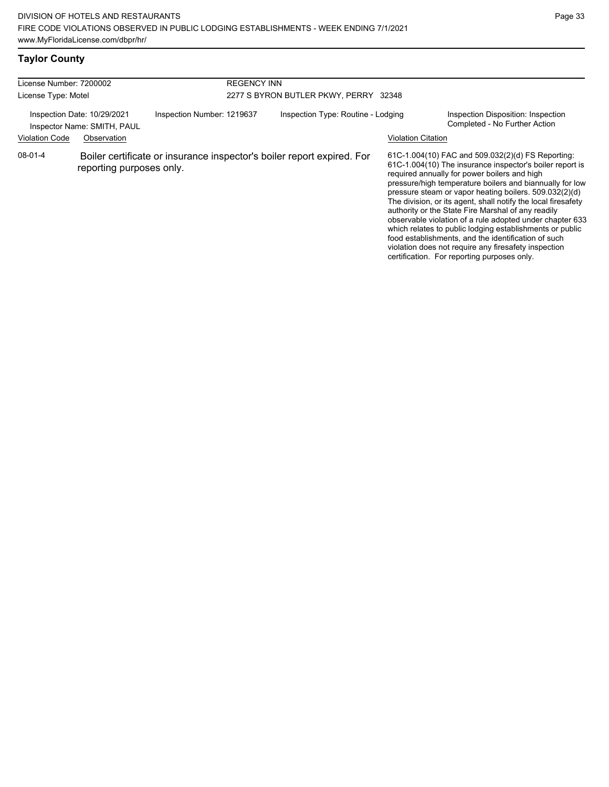# **Taylor County**

| License Number: 7200002<br>License Type: Motel                                                                                   |                          |  | <b>REGENCY INN</b><br>2277 S BYRON BUTLER PKWY, PERRY 32348 |                                                                        |  |                                                                                                                                                                                                                                                                                                                                                                                                                                                                                                                                                                                                                                                                                                  |
|----------------------------------------------------------------------------------------------------------------------------------|--------------------------|--|-------------------------------------------------------------|------------------------------------------------------------------------|--|--------------------------------------------------------------------------------------------------------------------------------------------------------------------------------------------------------------------------------------------------------------------------------------------------------------------------------------------------------------------------------------------------------------------------------------------------------------------------------------------------------------------------------------------------------------------------------------------------------------------------------------------------------------------------------------------------|
| Inspection Number: 1219637<br>Inspection Date: 10/29/2021<br>Inspector Name: SMITH, PAUL<br><b>Violation Code</b><br>Observation |                          |  | Inspection Type: Routine - Lodging<br>Violation Citation    |                                                                        |  | Inspection Disposition: Inspection<br>Completed - No Further Action                                                                                                                                                                                                                                                                                                                                                                                                                                                                                                                                                                                                                              |
| $08 - 01 - 4$                                                                                                                    | reporting purposes only. |  |                                                             | Boiler certificate or insurance inspector's boiler report expired. For |  | 61C-1.004(10) FAC and 509.032(2)(d) FS Reporting:<br>61C-1.004(10) The insurance inspector's boiler report is<br>required annually for power boilers and high<br>pressure/high temperature boilers and biannually for low<br>pressure steam or vapor heating boilers. 509.032(2)(d)<br>The division, or its agent, shall notify the local firesafety<br>authority or the State Fire Marshal of any readily<br>observable violation of a rule adopted under chapter 633<br>which relates to public lodging establishments or public<br>food establishments, and the identification of such<br>violation does not require any firesafety inspection<br>certification. For reporting purposes only. |